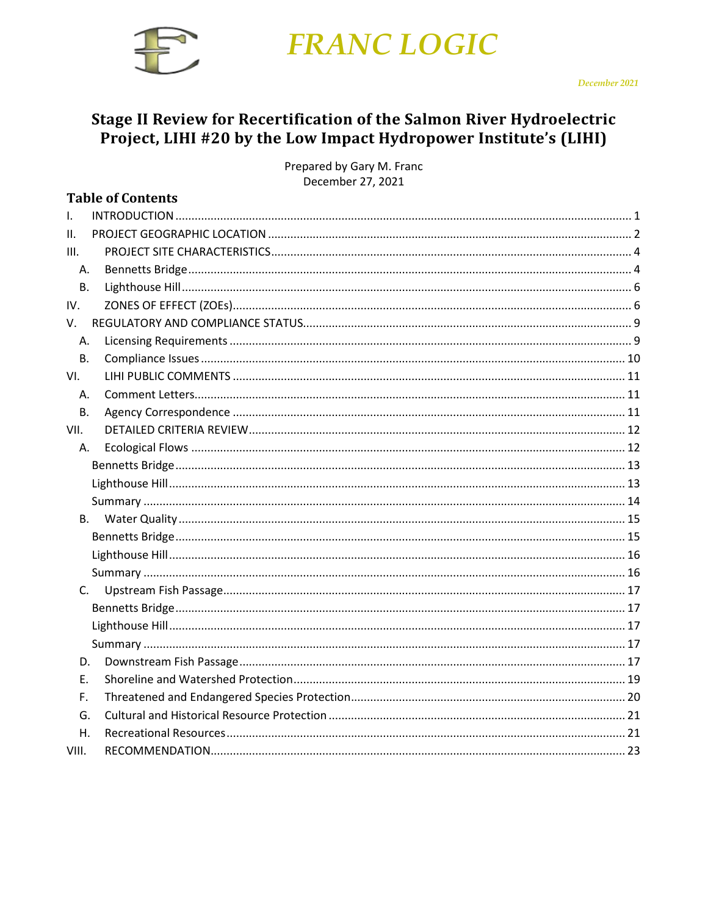

# Stage II Review for Recertification of the Salmon River Hydroelectric Project, LIHI #20 by the Low Impact Hydropower Institute's (LIHI)

Prepared by Gary M. Franc December 27, 2021

|           | <b>Table of Contents</b> |  |
|-----------|--------------------------|--|
| Τ.        |                          |  |
| II.       |                          |  |
| III.      |                          |  |
| Α.        |                          |  |
| <b>B.</b> |                          |  |
| IV.       |                          |  |
| V.        |                          |  |
| Α.        |                          |  |
| <b>B.</b> |                          |  |
| VI.       |                          |  |
| Α.        |                          |  |
| <b>B.</b> |                          |  |
| VII.      |                          |  |
| А.        |                          |  |
|           |                          |  |
|           |                          |  |
|           |                          |  |
| <b>B.</b> |                          |  |
|           |                          |  |
|           |                          |  |
|           |                          |  |
| C.        |                          |  |
|           |                          |  |
|           |                          |  |
|           |                          |  |
| D.        |                          |  |
| Е.        |                          |  |
| F.        |                          |  |
| G.        |                          |  |
| Η.        |                          |  |
| VIII.     |                          |  |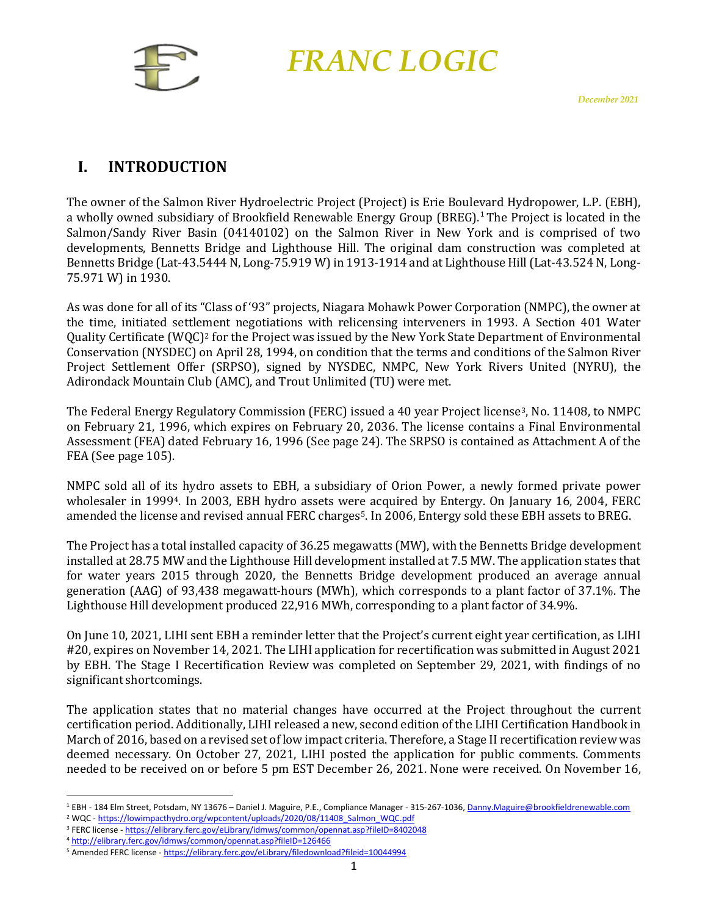

# <span id="page-1-0"></span>**I. INTRODUCTION**

The owner of the Salmon River Hydroelectric Project (Project) is Erie Boulevard Hydropower, L.P. (EBH), a wholly owned subsidiary of Brookfield Renewable Energy Group (BREG). [1](#page-1-1) The Project is located in the Salmon/Sandy River Basin (04140102) on the Salmon River in New York and is comprised of two developments, Bennetts Bridge and Lighthouse Hill. The original dam construction was completed at Bennetts Bridge (Lat-43.5444 N, Long-75.919 W) in 1913-1914 and at Lighthouse Hill (Lat-43.524 N, Long-75.971 W) in 1930.

As was done for all of its "Class of '93" projects, Niagara Mohawk Power Corporation (NMPC), the owner at the time, initiated settlement negotiations with relicensing interveners in 1993. A Section 401 Water Quality Certificate (WQC[\)2](#page-1-2) for the Project was issued by the New York State Department of Environmental Conservation (NYSDEC) on April 28, 1994, on condition that the terms and conditions of the Salmon River Project Settlement Offer (SRPSO), signed by NYSDEC, NMPC, New York Rivers United (NYRU), the Adirondack Mountain Club (AMC), and Trout Unlimited (TU) were met.

The Federal Energy Regulatory Commission (FERC) issued a 40 year Project license[3](#page-1-3), No. 11408, to NMPC on February 21, 1996, which expires on February 20, 2036. The license contains a Final Environmental Assessment (FEA) dated February 16, 1996 (See page 24). The SRPSO is contained as Attachment A of the FEA (See page 105).

NMPC sold all of its hydro assets to EBH, a subsidiary of Orion Power, a newly formed private power wholesaler in 1999[4.](#page-1-4) In 2003, EBH hydro assets wer[e](#page-1-5) acquired by Entergy. On January 16, 2004, FERC amended the license and revised annual FERC charges5. In 2006, Entergy sold these EBH assets to BREG.

The Project has a total installed capacity of 36.25 megawatts (MW), with the Bennetts Bridge development installed at 28.75 MW and the Lighthouse Hill development installed at 7.5 MW. The application states that for water years 2015 through 2020, the Bennetts Bridge development produced an average annual generation (AAG) of 93,438 megawatt-hours (MWh), which corresponds to a plant factor of 37.1%. The Lighthouse Hill development produced 22,916 MWh, corresponding to a plant factor of 34.9%.

On June 10, 2021, LIHI sent EBH a reminder letter that the Project's current eight year certification, as LIHI #20, expires on November 14, 2021. The LIHI application for recertification was submitted in August 2021 by EBH. The Stage I Recertification Review was completed on September 29, 2021, with findings of no significant shortcomings.

The application states that no material changes have occurred at the Project throughout the current certification period. Additionally, LIHI released a new, second edition of the LIHI Certification Handbook in March of 2016, based on a revised set of low impact criteria. Therefore, a Stage II recertification review was deemed necessary. On October 27, 2021, LIHI posted the application for public comments. Comments needed to be received on or before 5 pm EST December 26, 2021. None were received. On November 16,

<span id="page-1-1"></span><sup>&</sup>lt;sup>1</sup> EBH - 184 Elm Street, Potsdam, NY 13676 - Daniel J. Maguire, P.E., Compliance Manager - 315-267-1036[, Danny.Maguire@brookfieldrenewable.com](mailto:Danny.Maguire@brookfieldrenewable.com)

<span id="page-1-2"></span><sup>&</sup>lt;sup>2</sup> WQC - [https://lowimpacthydro.org/wpcontent/uploads/2020/08/11408\\_Salmon\\_WQC.pdf](https://lowimpacthydro.org/wpcontent/uploads/2020/08/11408_Salmon_WQC.pdf)

<span id="page-1-4"></span><span id="page-1-3"></span><sup>3</sup> FERC license - <https://elibrary.ferc.gov/eLibrary/idmws/common/opennat.asp?fileID=8402048> <sup>4</sup> <http://elibrary.ferc.gov/idmws/common/opennat.asp?fileID=126466>

<span id="page-1-5"></span><sup>&</sup>lt;sup>5</sup> Amended FERC license - <https://elibrary.ferc.gov/eLibrary/filedownload?fileid=10044994>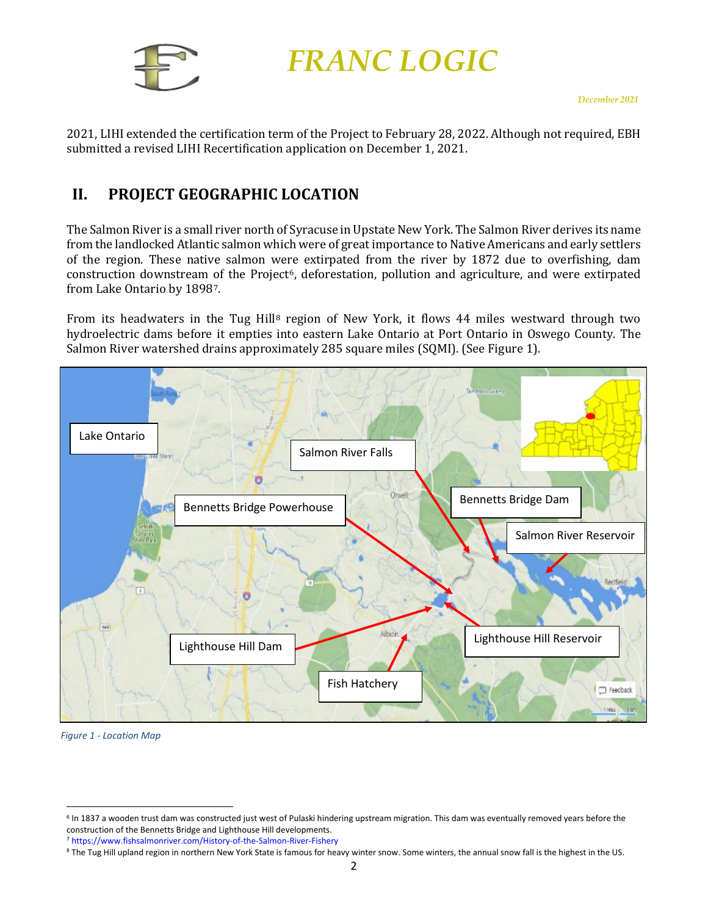

2021, LIHI extended the certification term of the Project to February 28, 2022. Although not required, EBH submitted a revised LIHI Recertification application on December 1, 2021.

# <span id="page-2-0"></span>**II. PROJECT GEOGRAPHIC LOCATION**

The Salmon River is a small river north of Syracuse in Upstate New York. The Salmon River derives its name from the landlocked Atlantic salmon which were of great importance to Native Americans and early settlers of the region. These native salmon were extirpated from the river by 1872 due to overfishing, dam c[o](#page-2-3)nstruction downstream of the Project<sup>6</sup>, deforestation, pollution and agriculture, and were extirpated from Lake Ontario by 18987.

From its headwaters in the Tug Hill<sup>[8](#page-2-4)</sup> region of New York, it flows 44 miles westward through two hydroelectric dams before it empties into eastern Lake Ontario at Port Ontario in Oswego County. The Salmon River watershed drains approximately 285 square miles (SQMI). (See [Figure 1\)](#page-2-1).



*Figure 1 - Location Map*

<span id="page-2-2"></span><span id="page-2-1"></span><sup>&</sup>lt;sup>6</sup> In 1837 a wooden trust dam was constructed just west of Pulaski hindering upstream migration. This dam was eventually removed years before the construction of the Bennetts Bridge and Lighthouse Hill developments.

<span id="page-2-3"></span><sup>7</sup> <https://www.fishsalmonriver.com/History-of-the-Salmon-River-Fishery>

<span id="page-2-4"></span><sup>8</sup> The Tug Hill upland region in northern New York State is famous for heavy winter snow. Some winters, the annual snow fall is the highest in the US.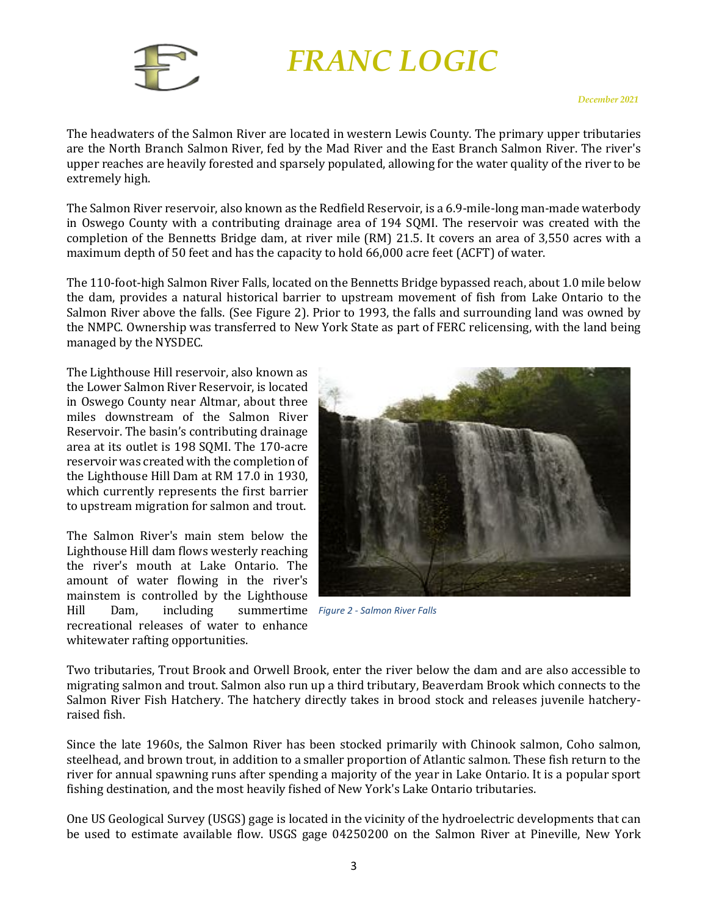

The headwaters of the Salmon River are located in western Lewis County. The primary upper tributaries are the North Branch Salmon River, fed by the Mad River and the East Branch Salmon River. The river's upper reaches are heavily forested and sparsely populated, allowing for the water quality of the river to be extremely high. 

The Salmon River reservoir, also known as the Redfield Reservoir, is a 6.9-mile-long man-made waterbody in Oswego County with a contributing drainage area of 194 SQMI. The reservoir was created with the completion of the Bennetts Bridge dam, at river mile (RM) 21.5. It covers an area of 3,550 acres with a maximum depth of 50 feet and has the capacity to hold 66,000 acre feet (ACFT) of water.

The 110-foot-high Salmon River Falls, located on the Bennetts Bridge bypassed reach, about 1.0 mile below the dam, provides a natural historical barrier to upstream movement of fish from Lake Ontario to the Salmon River above the falls. (See [Figure 2\)](#page-3-0). Prior to 1993, the falls and surrounding land was owned by the NMPC. Ownership was transferred to New York State as part of FERC relicensing, with the land being managed by the NYSDEC.

The Lighthouse Hill reservoir, also known as the Lower Salmon River Reservoir, is located in Oswego County near Altmar, about three miles downstream of the Salmon River Reservoir. The basin's contributing drainage area at its outlet is 198 SQMI. The 170-acre reservoir was created with the completion of the Lighthouse Hill Dam at RM 17.0 in 1930, which currently represents the first barrier to upstream migration for salmon and trout.

The Salmon River's main stem below the Lighthouse Hill dam flows westerly reaching the river's mouth at Lake Ontario. The amount of water flowing in the river's mainstem is controlled by the Lighthouse<br>Hill Dam. including summertime Hill Dam, including summertime *Figure 2 - Salmon River Falls*recreational releases of water to enhance whitewater rafting opportunities.

<span id="page-3-0"></span>

Two tributaries, Trout Brook and Orwell Brook, enter the river below the dam and are also accessible to migrating salmon and trout. Salmon also run up a third tributary, Beaverdam Brook which connects to the Salmon River Fish Hatchery. The hatchery directly takes in brood stock and releases juvenile hatcheryraised fish.

Since the late 1960s, the Salmon River has been stocked primarily with Chinook salmon, Coho salmon, steelhead, and brown trout, in addition to a smaller proportion of Atlantic salmon. These fish return to the river for annual spawning runs after spending a majority of the year in Lake Ontario. It is a popular sport fishing destination, and the most heavily fished of New York's Lake Ontario tributaries.

One US Geological Survey (USGS) gage is located in the vicinity of the hydroelectric developments that can be used to estimate available flow. USGS gage 04250200 on the Salmon River at Pineville, New York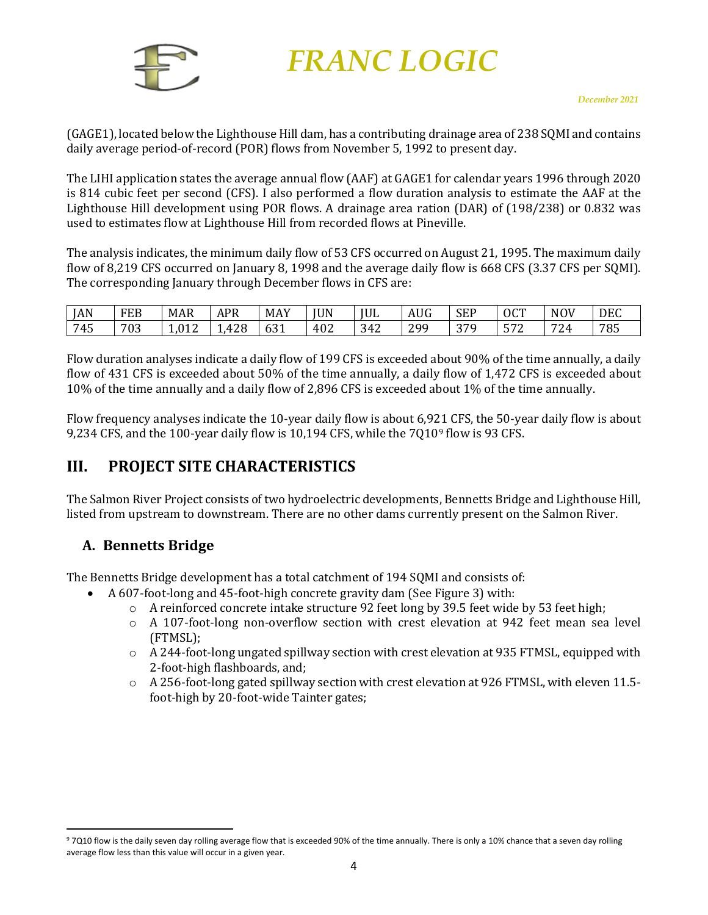

(GAGE1), located below the Lighthouse Hill dam, has a contributing drainage area of 238 SQMI and contains daily average period-of-record (POR) flows from November 5, 1992 to present day.

The LIHI application states the average annual flow (AAF) at GAGE1 for calendar years 1996 through 2020 is 814 cubic feet per second (CFS). I also performed a flow duration analysis to estimate the AAF at the Lighthouse Hill development using POR flows. A drainage area ration (DAR) of (198/238) or 0.832 was used to estimates flow at Lighthouse Hill from recorded flows at Pineville.

The analysis indicates, the minimum daily flow of 53 CFS occurred on August 21, 1995. The maximum daily flow of 8,219 CFS occurred on January 8, 1998 and the average daily flow is 668 CFS (3.37 CFS per SQMI). The corresponding January through December flows in CFS are:

| JAN | <b>FEB</b> | IAD<br>MAR    | APR                | <b>MAY</b>         | <b>JUN</b> | <b>IUL</b> | TT <sub>0</sub><br>AUG | <b>SEP</b><br>$\sim$ | OCT                                  | <b>NOV</b>            | <b>DEC</b> |
|-----|------------|---------------|--------------------|--------------------|------------|------------|------------------------|----------------------|--------------------------------------|-----------------------|------------|
| 745 | 703        | 0.40<br>1,012 | າ າ ດ<br>Д<br>14 U | $\sim$ 0.4<br>1 to | 402        | 342        | 299<br>∼<br><u>.</u>   | 270<br>J /           | $F \rightarrow 2$<br>L.<br><u>J7</u> | $\overline{z}$<br>΄ Δ | 785        |

Flow duration analyses indicate a daily flow of 199 CFS is exceeded about 90% of the time annually, a daily flow of 431 CFS is exceeded about 50% of the time annually, a daily flow of 1,472 CFS is exceeded about 10% of the time annually and a daily flow of 2,896 CFS is exceeded about 1% of the time annually.

Flow frequency analyses indicate the 10-year daily flow is about 6,9[21](#page-4-2) CFS, the 50-year daily flow is about 9,234 CFS, and the 100-year daily flow is 10,194 CFS, while the 7Q109 flow is 93 CFS.

### <span id="page-4-0"></span>**III. PROJECT SITE CHARACTERISTICS**

The Salmon River Project consists of two hydroelectric developments, Bennetts Bridge and Lighthouse Hill, listed from upstream to downstream. There are no other dams currently present on the Salmon River.

### <span id="page-4-1"></span>**A. Bennetts Bridge**

The Bennetts Bridge development has a total catchment of 194 SQMI and consists of:

- A 607-foot-long and 45-foot-high concrete gravity dam (See [Figure 3\)](#page-5-0) with:
	- $\circ$  A reinforced concrete intake structure 92 feet long by 39.5 feet wide by 53 feet high;
	- o A 107-foot-long non-overflow section with crest elevation at 942 feet mean sea level (FTMSL);
	- $\circ$  A 244-foot-long ungated spillway section with crest elevation at 935 FTMSL, equipped with 2-foot-high flashboards, and;
	- $\circ$  A 256-foot-long gated spillway section with crest elevation at 926 FTMSL, with eleven 11.5foot-high by 20-foot-wide Tainter gates;

<span id="page-4-2"></span><sup>97</sup>Q10 flow is the daily seven day rolling average flow that is exceeded 90% of the time annually. There is only a 10% chance that a seven day rolling average flow less than this value will occur in a given year.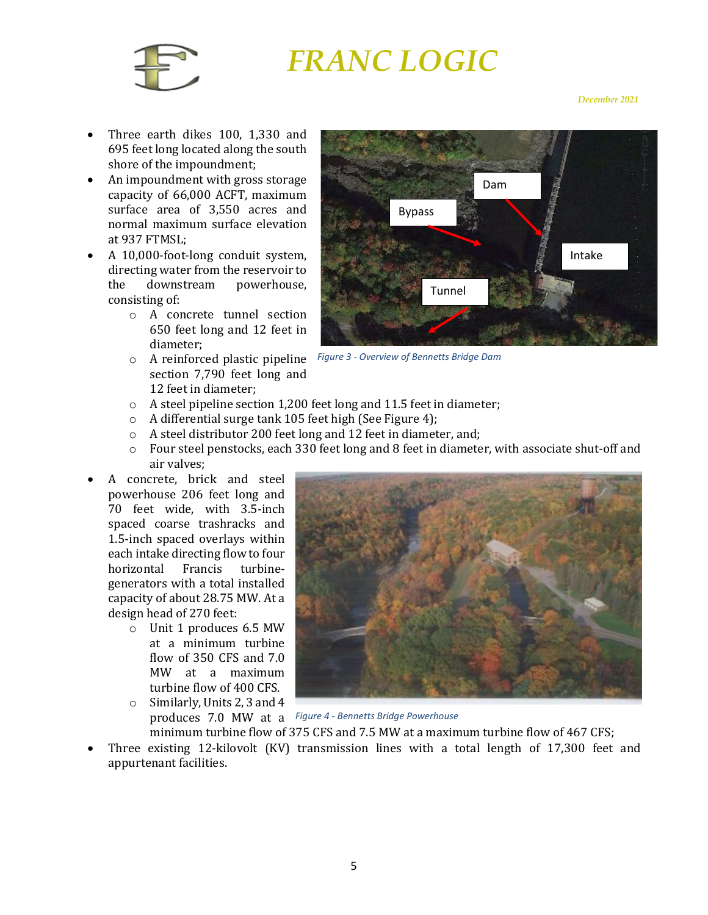

#### *December 2021*

- Three earth dikes 100, 1,330 and 695 feet long located along the south shore of the impoundment;
- An impoundment with gross storage capacity of 66,000 ACFT, maximum surface area of 3,550 acres and normal maximum surface elevation at 937 FTMSL;
- A 10,000-foot-long conduit system, directing water from the reservoir to<br>the downstream powerhouse, powerhouse, consisting of:
	- o A concrete tunnel section 650 feet long and 12 feet in diameter;
	- o A reinforced plastic pipeline *Figure 3 - Overview of Bennetts Bridge Dam* section 7,790 feet long and 12 feet in diameter;



<span id="page-5-0"></span>

- o A steel pipeline section 1,200 feet long and 11.5 feet in diameter;
- o A differential surge tank 105 feet high (Se[e Figure 4\)](#page-5-1);
- o A steel distributor 200 feet long and 12 feet in diameter, and;
- o Four steel penstocks, each 330 feet long and 8 feet in diameter, with associate shut-off and air valves;
- A concrete, brick and steel powerhouse 206 feet long and 70 feet wide, with 3.5-inch spaced coarse trashracks and 1.5-inch spaced overlays within each intake directing flow to four<br>horizontal Francis turbinehorizontal generators with a total installed capacity of about 28.75 MW. At a design head of 270 feet:
	- o Unit 1 produces 6.5 MW at a minimum turbine flow of 350 CFS and 7.0 MW at a maximum turbine flow of 400 CFS.
	- o Similarly, Units 2, 3 and 4 produces 7.0 MW at a *Figure 4 - Bennetts Bridge Powerhouse*



- <span id="page-5-1"></span>minimum turbine flow of 375 CFS and 7.5 MW at a maximum turbine flow of 467 CFS;
- Three existing 12-kilovolt (KV) transmission lines with a total length of 17,300 feet and appurtenant facilities.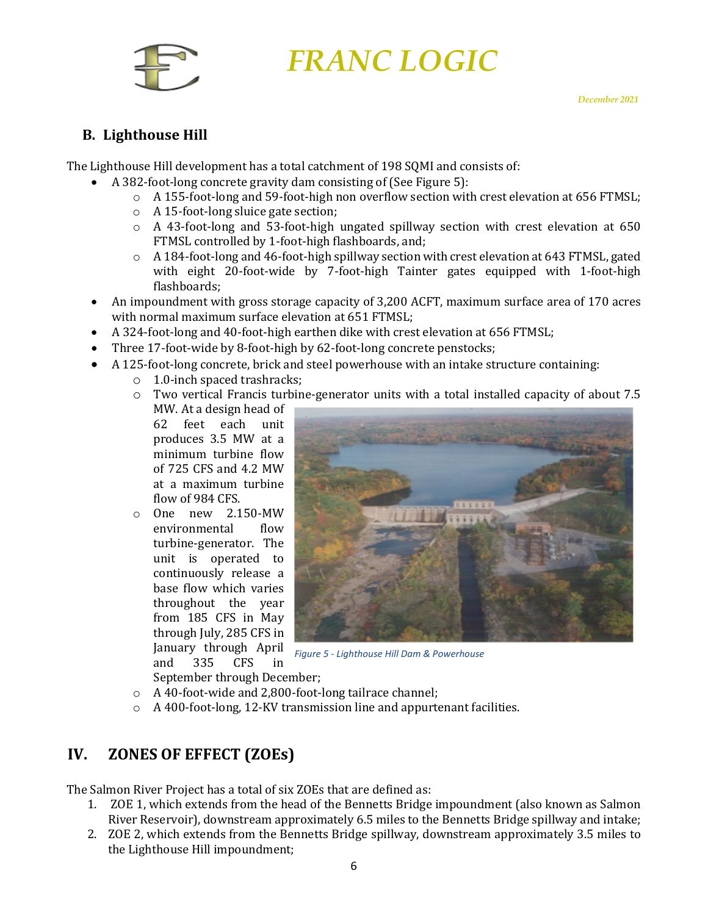

### <span id="page-6-0"></span>**B. Lighthouse Hill**

The Lighthouse Hill development has a total catchment of 198 SQMI and consists of:

- A 382-foot-long concrete gravity dam consisting of (Se[e Figure 5\)](#page-6-2):
	- o A 155-foot-long and 59-foot-high non overflow section with crest elevation at 656 FTMSL;
	- o A 15-foot-long sluice gate section;
	- o A 43-foot-long and 53-foot-high ungated spillway section with crest elevation at 650 FTMSL controlled by 1-foot-high flashboards, and;
	- $\circ$  A 184-foot-long and 46-foot-high spillway section with crest elevation at 643 FTMSL, gated with eight 20-foot-wide by 7-foot-high Tainter gates equipped with 1-foot-high flashboards;
- An impoundment with gross storage capacity of 3,200 ACFT, maximum surface area of 170 acres with normal maximum surface elevation at 651 FTMSL;
- A 324-foot-long and 40-foot-high earthen dike with crest elevation at 656 FTMSL;
- Three 17-foot-wide by 8-foot-high by 62-foot-long concrete penstocks;
- A 125-foot-long concrete, brick and steel powerhouse with an intake structure containing:
	- o 1.0-inch spaced trashracks;
	- o Two vertical Francis turbine-generator units with a total installed capacity of about 7.5

MW. At a design head of 62 feet each unit produces 3.5 MW at a minimum turbine flow of 725 CFS and 4.2 MW at a maximum turbine flow of 984 CFS.

o One new 2.150-MW environmental turbine-generator. The unit is operated to continuously release a base flow which varies throughout the year from 185 CFS in May through July, 285 CFS in January through April<br>and 335 CFS in and 335 CFS in



*Figure 5 - Lighthouse Hill Dam & Powerhouse*

<span id="page-6-2"></span>September through December;

- o A 40-foot-wide and 2,800-foot-long tailrace channel;
- o A 400-foot-long, 12-KV transmission line and appurtenant facilities.

# <span id="page-6-1"></span>**IV. ZONES OF EFFECT (ZOEs)**

The Salmon River Project has a total of six ZOEs that are defined as:

- 1. ZOE 1, which extends from the head of the Bennetts Bridge impoundment (also known as Salmon River Reservoir), downstream approximately 6.5 miles to the Bennetts Bridge spillway and intake;
- 2. ZOE 2, which extends from the Bennetts Bridge spillway, downstream approximately 3.5 miles to the Lighthouse Hill impoundment;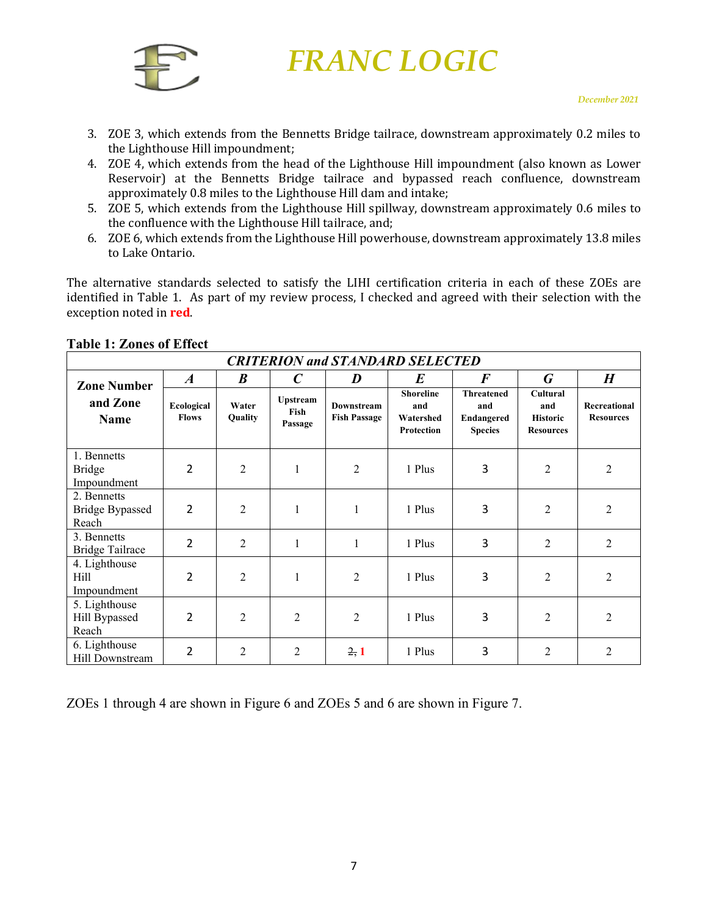

- 3. ZOE 3, which extends from the Bennetts Bridge tailrace, downstream approximately 0.2 miles to the Lighthouse Hill impoundment;
- 4. ZOE 4, which extends from the head of the Lighthouse Hill impoundment (also known as Lower Reservoir) at the Bennetts Bridge tailrace and bypassed reach confluence, downstream approximately 0.8 miles to the Lighthouse Hill dam and intake;
- 5. ZOE 5, which extends from the Lighthouse Hill spillway, downstream approximately 0.6 miles to the confluence with the Lighthouse Hill tailrace, and;
- 6. ZOE 6, which extends from the Lighthouse Hill powerhouse, downstream approximately 13.8 miles to Lake Ontario.

The alternative standards selected to satisfy the LIHI certification criteria in each of these ZOEs are identified in Table 1. As part of my review process, I checked and agreed with their selection with the exception noted in **red**.

| <b>CRITERION and STANDARD SELECTED</b>         |                            |                  |                             |                                          |                                                    |                                                          |                                                               |                                  |
|------------------------------------------------|----------------------------|------------------|-----------------------------|------------------------------------------|----------------------------------------------------|----------------------------------------------------------|---------------------------------------------------------------|----------------------------------|
| <b>Zone Number</b>                             | $\boldsymbol{A}$           | $\boldsymbol{B}$ | $\mathcal C$                | D                                        | $\bm E$                                            | $\boldsymbol{F}$                                         | G                                                             | $\boldsymbol{H}$                 |
| and Zone<br><b>Name</b>                        | Ecological<br><b>Flows</b> | Water<br>Quality | Upstream<br>Fish<br>Passage | <b>Downstream</b><br><b>Fish Passage</b> | <b>Shoreline</b><br>and<br>Watershed<br>Protection | <b>Threatened</b><br>and<br>Endangered<br><b>Species</b> | <b>Cultural</b><br>and<br><b>Historic</b><br><b>Resources</b> | Recreational<br><b>Resources</b> |
| 1. Bennetts<br><b>Bridge</b><br>Impoundment    | 2                          | $\overline{2}$   | 1                           | 2                                        | 1 Plus                                             | 3                                                        | 2                                                             | 2                                |
| 2. Bennetts<br><b>Bridge Bypassed</b><br>Reach | 2                          | 2                | 1                           | $\mathbf{1}$                             | 1 Plus                                             | 3                                                        | 2                                                             | $\overline{2}$                   |
| 3. Bennetts<br><b>Bridge Tailrace</b>          | 2                          | $\overline{2}$   | 1                           | $\mathbf{1}$                             | 1 Plus                                             | 3                                                        | $\overline{2}$                                                | $\overline{2}$                   |
| 4. Lighthouse<br>Hill<br>Impoundment           | 2                          | $\overline{2}$   | 1                           | 2                                        | 1 Plus                                             | 3                                                        | $\overline{2}$                                                | $\overline{c}$                   |
| 5. Lighthouse<br>Hill Bypassed<br>Reach        | 2                          | $\overline{2}$   | 2                           | 2                                        | 1 Plus                                             | 3                                                        | $\overline{2}$                                                | $\overline{2}$                   |
| 6. Lighthouse<br>Hill Downstream               | 2                          | 2                | 2                           | 2, 1                                     | 1 Plus                                             | 3                                                        | 2                                                             | 2                                |

#### **Table 1: Zones of Effect**

ZOEs 1 through 4 are shown in Figure 6 and ZOEs 5 and 6 are shown in Figure 7.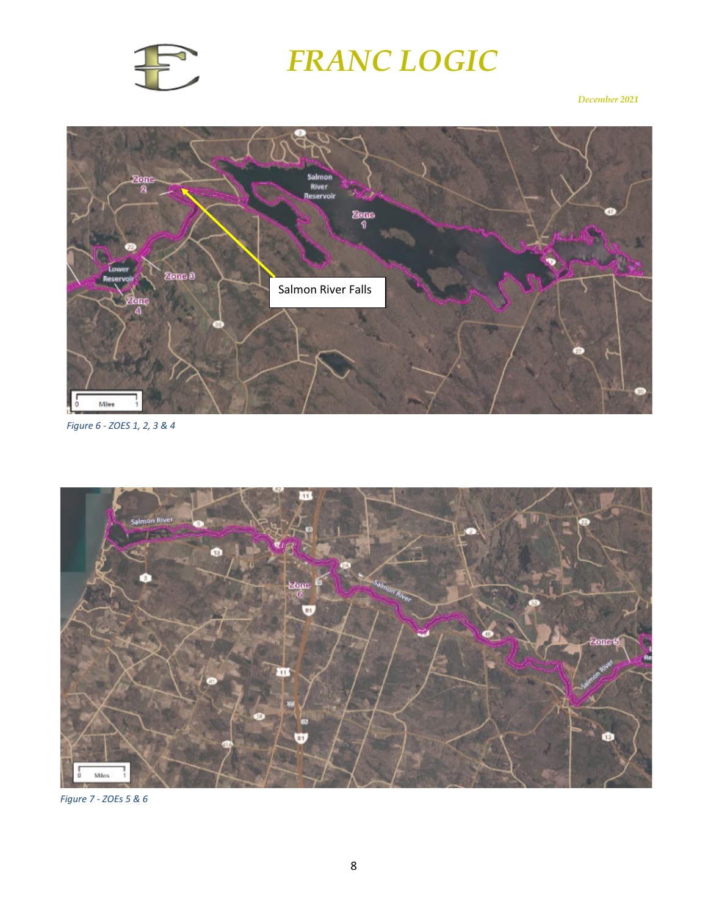

#### *December 2021*



*Figure 6 - ZOES 1, 2, 3 & 4*



*Figure 7 - ZOEs 5 & 6*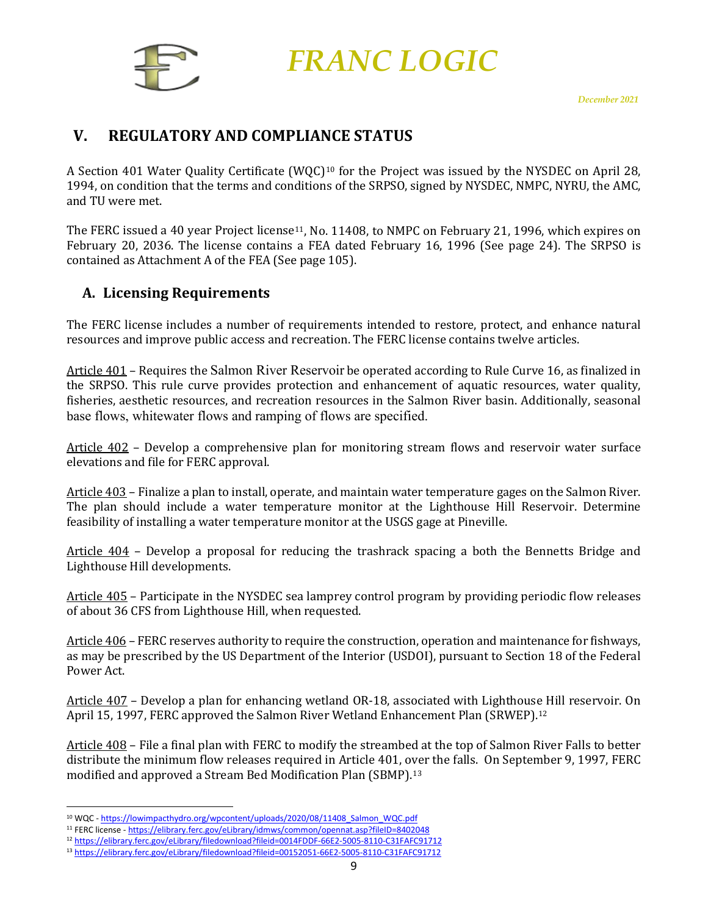

### <span id="page-9-0"></span>**V. REGULATORY AND COMPLIANCE STATUS**

A Section 401 Water Quality Certificate (WQC)<sup>[10](#page-9-2)</sup> for the Project was issued by the NYSDEC on April 28, 1994, on condition that the terms and conditions of the SRPSO, signed by NYSDEC, NMPC, NYRU, the AMC, and TU were met.

The FERC issued a 40 year Project license<sup>[11](#page-9-3)</sup>, No. 11408, to NMPC on February 21, 1996, which expires on February 20, 2036. The license contains a FEA dated February 16, 1996 (See page 24). The SRPSO is contained as Attachment A of the FEA (See page 105).

#### <span id="page-9-1"></span>**A. Licensing Requirements**

The FERC license includes a number of requirements intended to restore, protect, and enhance natural resources and improve public access and recreation. The FERC license contains twelve articles.

Article 401 – Requires the Salmon River Reservoir be operated according to Rule Curve 16, as finalized in the SRPSO. This rule curve provides protection and enhancement of aquatic resources, water quality, fisheries, aesthetic resources, and recreation resources in the Salmon River basin. Additionally, seasonal base flows, whitewater flows and ramping of flows are specified.

Article 402 – Develop a comprehensive plan for monitoring stream flows and reservoir water surface elevations and file for FERC approval.

Article 403 – Finalize a plan to install, operate, and maintain water temperature gages on the Salmon River. The plan should include a water temperature monitor at the Lighthouse Hill Reservoir. Determine feasibility of installing a water temperature monitor at the USGS gage at Pineville.

Article 404 – Develop a proposal for reducing the trashrack spacing a both the Bennetts Bridge and Lighthouse Hill developments.

Article 405 – Participate in the NYSDEC sea lamprey control program by providing periodic flow releases of about 36 CFS from Lighthouse Hill, when requested.

Article 406 – FERC reserves authority to require the construction, operation and maintenance for fishways, as may be prescribed by the US Department of the Interior (USDOI), pursuant to Section 18 of the Federal Power Act.

Article 407 – Develop a plan for enhancing wetland OR-18, associated with Lighthous[e H](#page-9-4)ill reservoir. On April 15, 1997, FERC approved the Salmon River Wetland Enhancement Plan (SRWEP).12

Article 408 – File a final plan with FERC to modify the streambed at the top of Salmon River Falls to better distribute the minimum flow releases required in Article 401, over the falls. On September 9, 1997, FERC modified and approved a Stream Bed Modification Plan (SBMP).[13](#page-9-5)

<span id="page-9-2"></span><sup>&</sup>lt;sup>10</sup> WQC - [https://lowimpacthydro.org/wpcontent/uploads/2020/08/11408\\_Salmon\\_WQC.pdf](https://lowimpacthydro.org/wpcontent/uploads/2020/08/11408_Salmon_WQC.pdf)

<span id="page-9-3"></span><sup>11</sup> FERC license - <https://elibrary.ferc.gov/eLibrary/idmws/common/opennat.asp?fileID=8402048>

<span id="page-9-4"></span><sup>12</sup> <https://elibrary.ferc.gov/eLibrary/filedownload?fileid=0014FDDF-66E2-5005-8110-C31FAFC91712>

<span id="page-9-5"></span><sup>13</sup> <https://elibrary.ferc.gov/eLibrary/filedownload?fileid=00152051-66E2-5005-8110-C31FAFC91712>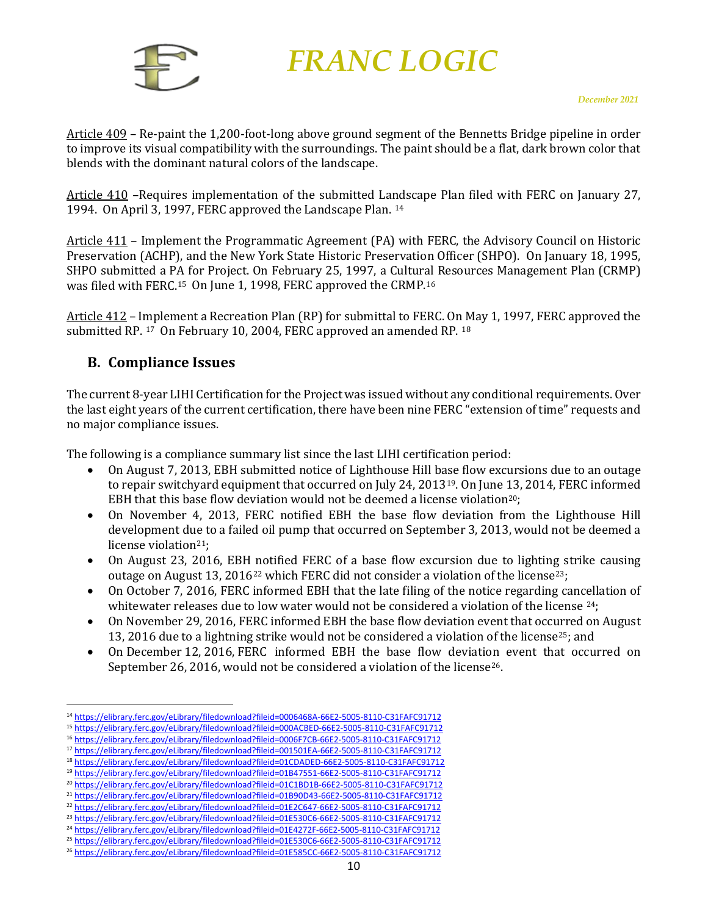

Article 409 – Re-paint the 1,200-foot-long above ground segment of the Bennetts Bridge pipeline in order to improve its visual compatibility with the surroundings. The paint should be a flat, dark brown color that blends with the dominant natural colors of the landscape.

Article 410 –Requires implementation of the submitted Landscape Plan filed with FERC on January 27, 1994. On April 3, 1997, FERC approved the Landscape Plan. [14](#page-10-1)

Article 411 - Implement the Programmatic Agreement (PA) with FERC, the Advisory Council on Historic Preservation (ACHP), and the New York State Historic Preservation Officer (SHPO). On January 18, 1995, SHPO submitted a PA for Project. On February 25, 1997, a Cultur[al](#page-10-3) Resources Management Plan (CRMP) was filed with FERC.[15](#page-10-2) On June 1, 1998, FERC approved the CRMP.16

Article 412 – Implement a Recreation Plan (RP) for submittal to FERC. On May 1, 1997, FERC approved the submitted RP. [17](#page-10-4) On February 10, 2004, FERC approved an amended RP. [18](#page-10-5)

#### <span id="page-10-0"></span>**B. Compliance Issues**

The current 8-year LIHI Certification for the Project was issued without any conditional requirements. Over the last eight years of the current certification, there have been nine FERC "extension of time" requests and no major compliance issues.

The following is a compliance summary list since the last LIHI certification period:

- On August 7, 2013, EBH submitted notice of Lighthouse Hill base flow excursions due to an outage to repair switchyard equipment that occurred on July 24, 2013[19](#page-10-6). On June 13, 2014, FERC informed EBH that this base flow deviation would not be deemed a license violation[20;](#page-10-7)
- On November 4, 2013, FERC notified EBH the base flow deviation from the Lighthouse Hill development due to a failed oil pump that occurred on September 3, 2013, would not be deemed a license violation<sup>[21](#page-10-8)</sup>;
- On August 23, 2016, EBH notified FERC of a base flow excursion due to lighting strike causing outage on August 13, 2016<sup>[22](#page-10-9)</sup> which FERC did not consider a violation of the license<sup>23</sup>;
- On October 7, 2016, FERC informed EBH that the late filing of the notice regarding cancellation of whitewater releases due to low water would not be considered a violation of the license <sup>[24](#page-10-11)</sup>;
- On November 29, 2016, FERC informed EBH the base flow deviation event that occurred on August 13, 2016 due to a lightning strike would not be considered a violation of the licens[e25](#page-10-12); and
- On December 12, 2016, FERC informed EBH the base flow deviation event that occurred on September 26, 2016, would not be considered a violation of the license<sup>26</sup>.

<span id="page-10-1"></span><sup>14</sup> <https://elibrary.ferc.gov/eLibrary/filedownload?fileid=0006468A-66E2-5005-8110-C31FAFC91712>

<span id="page-10-2"></span><sup>15</sup> <https://elibrary.ferc.gov/eLibrary/filedownload?fileid=000ACBED-66E2-5005-8110-C31FAFC91712>

<span id="page-10-3"></span><sup>16</sup> <https://elibrary.ferc.gov/eLibrary/filedownload?fileid=0006F7CB-66E2-5005-8110-C31FAFC91712> <sup>17</sup> <https://elibrary.ferc.gov/eLibrary/filedownload?fileid=001501EA-66E2-5005-8110-C31FAFC91712>

<span id="page-10-4"></span><sup>18</sup> <https://elibrary.ferc.gov/eLibrary/filedownload?fileid=01CDADED-66E2-5005-8110-C31FAFC91712>

<span id="page-10-5"></span><sup>19</sup> <https://elibrary.ferc.gov/eLibrary/filedownload?fileid=01B47551-66E2-5005-8110-C31FAFC91712>

<span id="page-10-7"></span><span id="page-10-6"></span><sup>20</sup> <https://elibrary.ferc.gov/eLibrary/filedownload?fileid=01C1BD1B-66E2-5005-8110-C31FAFC91712>

<span id="page-10-8"></span><sup>21</sup> <https://elibrary.ferc.gov/eLibrary/filedownload?fileid=01B90D43-66E2-5005-8110-C31FAFC91712>

<sup>22</sup> <https://elibrary.ferc.gov/eLibrary/filedownload?fileid=01E2C647-66E2-5005-8110-C31FAFC91712>

<span id="page-10-10"></span><span id="page-10-9"></span><sup>23</sup> <https://elibrary.ferc.gov/eLibrary/filedownload?fileid=01E530C6-66E2-5005-8110-C31FAFC91712>

<span id="page-10-11"></span><sup>24</sup> <https://elibrary.ferc.gov/eLibrary/filedownload?fileid=01E4272F-66E2-5005-8110-C31FAFC91712>

<span id="page-10-12"></span><sup>25</sup> <https://elibrary.ferc.gov/eLibrary/filedownload?fileid=01E530C6-66E2-5005-8110-C31FAFC91712>

<span id="page-10-13"></span><sup>26</sup> <https://elibrary.ferc.gov/eLibrary/filedownload?fileid=01E585CC-66E2-5005-8110-C31FAFC91712>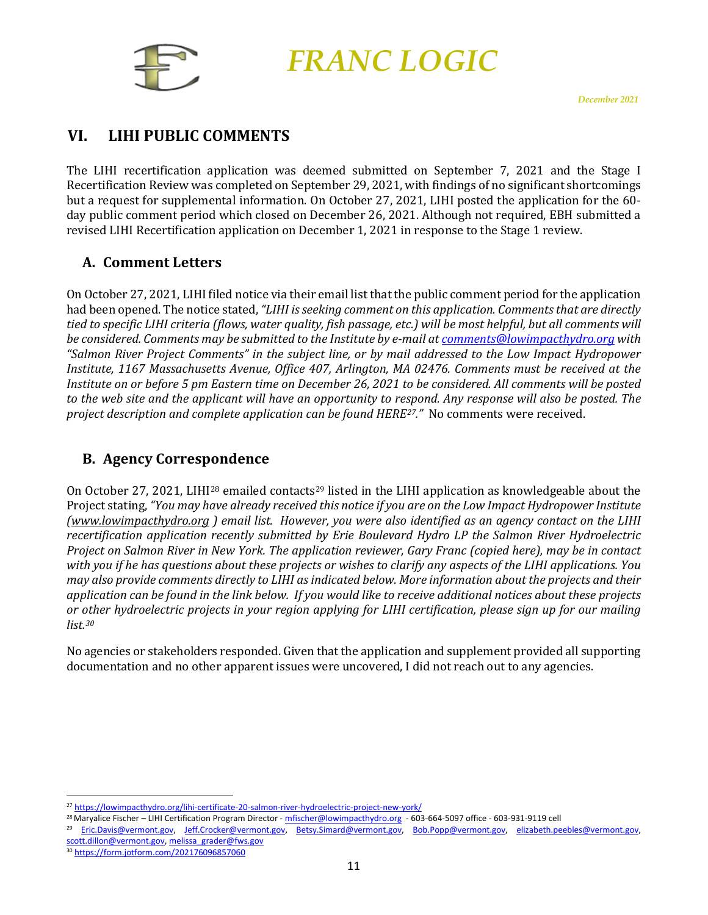

# <span id="page-11-0"></span>**VI. LIHI PUBLIC COMMENTS**

The LIHI recertification application was deemed submitted on September 7, 2021 and the Stage I Recertification Review was completed on September 29, 2021, with findings of no significant shortcomings but a request for supplemental information. On October 27, 2021, LIHI posted the application for the 60 day public comment period which closed on December 26, 2021. Although not required, EBH submitted a revised LIHI Recertification application on December 1, 2021 in response to the Stage 1 review.

#### <span id="page-11-1"></span>**A. Comment Letters**

On October 27, 2021, LIHI filed notice via their email list that the public comment period for the application had been opened. The notice stated, *"LIHI is seeking comment on this application. Comments that are directly tied to specific LIHI criteria (flows, water quality, fish passage, etc.) will be most helpful, but all comments will be considered. Comments may be submitted to the Institute by e-mail at [comments@lowimpacthydro.org](mailto:comments@lowimpacthydro.org) with "Salmon River Project Comments" in the subject line, or by mail addressed to the Low Impact Hydropower Institute, 1167 Massachusetts Avenue, Office 407, Arlington, MA 02476. Comments must be received at the Institute on or before 5 pm Eastern time on December 26, 2021 to be considered. All comments will be posted to the web site and the applicant will have an opportunity to respond. Any response will also be posted. The project description and complete application can be found HERE[27.](#page-11-3)"* No comments were received.

### <span id="page-11-2"></span>**B. Agency Correspondence**

On October 27, 2021, LIHI<sup>[28](#page-11-4)</sup> emailed contacts<sup>[29](#page-11-5)</sup> listed in the LIHI application as knowledgeable about the Project stating, *"You may have already received this notice if you are on the Low Impact Hydropower Institute [\(www.lowimpacthydro.org](http://www.lowimpacthydro.org/) ) email list. However, you were also identified as an agency contact on the LIHI recertification application recently submitted by Erie Boulevard Hydro LP the Salmon River Hydroelectric Project on Salmon River in New York. The application reviewer, Gary Franc (copied here), may be in contact with you if he has questions about these projects or wishes to clarify any aspects of the LIHI applications. You may also provide comments directly to LIHI as indicated below. More information about the projects and their application can be found in the link below. If you would like to receive additional notices about these projects or other hydroelectric projects in your region applying for LIHI certification, please sign up for our mailing list. [30](#page-11-6)*

No agencies or stakeholders responded. Given that the application and supplement provided all supporting documentation and no other apparent issues were uncovered, I did not reach out to any agencies.

<span id="page-11-6"></span><sup>30</sup> <https://form.jotform.com/202176096857060>

<span id="page-11-3"></span><sup>27</sup> <https://lowimpacthydro.org/lihi-certificate-20-salmon-river-hydroelectric-project-new-york/>

<span id="page-11-4"></span><sup>&</sup>lt;sup>28</sup> Maryalice Fischer – LIHI Certification Program Director - [mfischer@lowimpacthydro.org](mailto:mfischer@lowimpacthydro.org) - 603-664-5097 office - 603-931-9119 cell

<span id="page-11-5"></span><sup>&</sup>lt;sup>29</sup> [Eric.Davis@vermont.gov,](mailto:Eric.Davis@vermont.gov) [Jeff.Crocker@vermont.gov,](mailto:Jeff.Crocker@vermont.gov) [Betsy.Simard@vermont.gov,](mailto:Betsy.Simard@vermont.gov) [Bob.Popp@vermont.gov,](mailto:Bob.Popp@vermont.gov) elizabeth.peebles@vermont.gov, [scott.dillon@vermont.gov,](mailto:scott.dillon@vermont.gov) [melissa\\_grader@fws.gov](mailto:melissa_grader@fws.gov)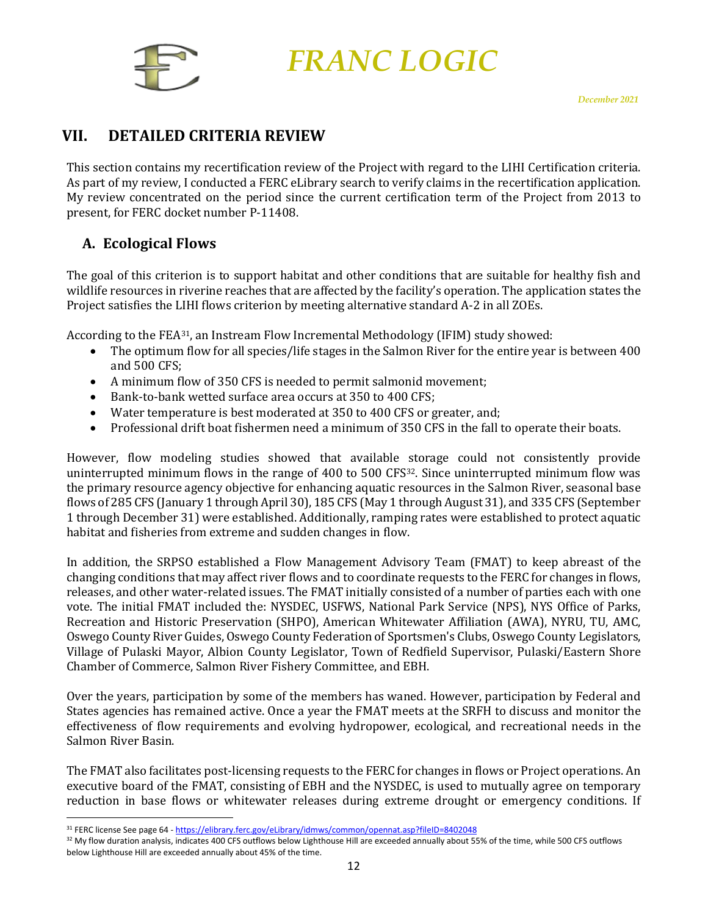

# <span id="page-12-0"></span>**VII. DETAILED CRITERIA REVIEW**

This section contains my recertification review of the Project with regard to the LIHI Certification criteria. As part of my review, I conducted a FERC eLibrary search to verify claims in the recertification application. My review concentrated on the period since the current certification term of the Project from 2013 to present, for FERC docket number P-11408.

### <span id="page-12-1"></span>**A. Ecological Flows**

The goal of this criterion is to support habitat and other conditions that are suitable for healthy fish and wildlife resources in riverine reaches that are affected by the facility's operation. The application states the Project satisfies the LIHI flows criterion by meeting alternative standard A-2 in all ZOEs.

According to the FEA[31,](#page-12-2) an Instream Flow Incremental Methodology (IFIM) study showed:

- The optimum flow for all species/life stages in the Salmon River for the entire year is between 400 and 500 CFS;
- A minimum flow of 350 CFS is needed to permit salmonid movement;
- Bank-to-bank wetted surface area occurs at 350 to 400 CFS;
- Water temperature is best moderated at 350 to 400 CFS or greater, and;
- Professional drift boat fishermen need a minimum of 350 CFS in the fall to operate their boats.

However, flow modeling studies showed that available storage could not consistently provide uninterrupted minimum flows in the range of 400 to 500 CFS<sup>32</sup>. Since uninterrupted minimum flow was the primary resource agency objective for enhancing aquatic resources in the Salmon River, seasonal base flows of 285 CFS (January 1 through April 30), 185 CFS (May 1 through August 31), and 335 CFS (September 1 through December 31) were established. Additionally, ramping rates were established to protect aquatic habitat and fisheries from extreme and sudden changes in flow.

In addition, the SRPSO established a Flow Management Advisory Team (FMAT) to keep abreast of the changing conditions that may affect river flows and to coordinate requests to the FERC for changes in flows, releases, and other water-related issues. The FMAT initially consisted of a number of parties each with one vote. The initial FMAT included the: NYSDEC, USFWS, National Park Service (NPS), NYS Office of Parks, Recreation and Historic Preservation (SHPO), American Whitewater Affiliation (AWA), NYRU, TU, AMC, Oswego County River Guides, Oswego County Federation of Sportsmen's Clubs, Oswego County Legislators, Village of Pulaski Mayor, Albion County Legislator, Town of Redfield Supervisor, Pulaski/Eastern Shore Chamber of Commerce, Salmon River Fishery Committee, and EBH.

Over the years, participation by some of the members has waned. However, participation by Federal and States agencies has remained active. Once a year the FMAT meets at the SRFH to discuss and monitor the effectiveness of flow requirements and evolving hydropower, ecological, and recreational needs in the Salmon River Basin.

The FMAT also facilitates post-licensing requests to the FERC for changes in flows or Project operations. An executive board of the FMAT, consisting of EBH and the NYSDEC, is used to mutually agree on temporary reduction in base flows or whitewater releases during extreme drought or emergency conditions. If

<span id="page-12-3"></span><span id="page-12-2"></span><sup>31</sup> FERC license See page 64 - <https://elibrary.ferc.gov/eLibrary/idmws/common/opennat.asp?fileID=8402048>

<sup>&</sup>lt;sup>32</sup> My flow duration analysis, indicates 400 CFS outflows below Lighthouse Hill are exceeded annually about 55% of the time, while 500 CFS outflows below Lighthouse Hill are exceeded annually about 45% of the time.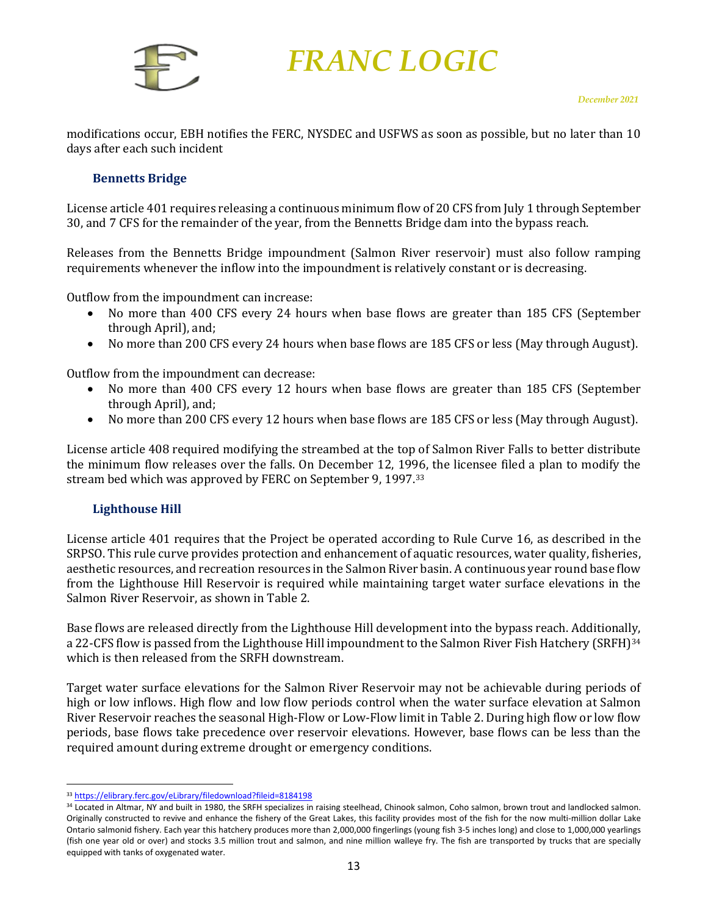

modifications occur, EBH notifies the FERC, NYSDEC and USFWS as soon as possible, but no later than 10 days after each such incident

#### <span id="page-13-0"></span>**Bennetts Bridge**

License article 401 requires releasing a continuous minimum flow of 20 CFS from July 1 through September 30, and 7 CFS for the remainder of the year, from the Bennetts Bridge dam into the bypass reach.

Releases from the Bennetts Bridge impoundment (Salmon River reservoir) must also follow ramping requirements whenever the inflow into the impoundment is relatively constant or is decreasing.

Outflow from the impoundment can increase:

- No more than 400 CFS every 24 hours when base flows are greater than 185 CFS (September through April), and;
- No more than 200 CFS every 24 hours when base flows are 185 CFS or less (May through August).

Outflow from the impoundment can decrease:

- No more than 400 CFS every 12 hours when base flows are greater than 185 CFS (September through April), and;
- No more than 200 CFS every 12 hours when base flows are 185 CFS or less (May through August).

License article 408 required modifying the streambed at the top of Salmon River Falls to better distribute the minimum flow releases over the falls. On December 12, 19[96](#page-13-2), the licensee filed a plan to modify the stream bed which was approved by FERC on September 9, 1997.33

#### <span id="page-13-1"></span>**Lighthouse Hill**

License article 401 requires that the Project be operated according to Rule Curve 16, as described in the SRPSO. This rule curve provides protection and enhancement of aquatic resources, water quality, fisheries, aesthetic resources, and recreation resources in the Salmon River basin. A continuous year round base flow from the Lighthouse Hill Reservoir is required while maintaining target water surface elevations in the Salmon River Reservoir, as shown in Table 2.

Base flows are released directly from the Lighthouse Hill development into the bypass reach. Additionally, a 22-CFS flow is passed from the Lighthouse Hill impoundment to the Salmon River Fish Hatchery (SRFH)<sup>[34](#page-13-3)</sup> which is then released from the SRFH downstream.

Target water surface elevations for the Salmon River Reservoir may not be achievable during periods of high or low inflows. High flow and low flow periods control when the water surface elevation at Salmon River Reservoir reaches the seasonal High-Flow or Low-Flow limit in Table 2. During high flow or low flow periods, base flows take precedence over reservoir elevations. However, base flows can be less than the required amount during extreme drought or emergency conditions.

<span id="page-13-2"></span><sup>33</sup> <https://elibrary.ferc.gov/eLibrary/filedownload?fileid=8184198>

<span id="page-13-3"></span><sup>34</sup> Located in Altmar, NY and built in 1980, the SRFH specializes in raising steelhead, Chinook salmon, Coho salmon, brown trout and landlocked salmon. Originally constructed to revive and enhance the fishery of the Great Lakes, this facility provides most of the fish for the now multi-million dollar Lake Ontario salmonid fishery. Each year this hatchery produces more than 2,000,000 fingerlings (young fish 3-5 inches long) and close to 1,000,000 yearlings (fish one year old or over) and stocks 3.5 million trout and salmon, and nine million walleye fry. The fish are transported by trucks that are specially equipped with tanks of oxygenated water.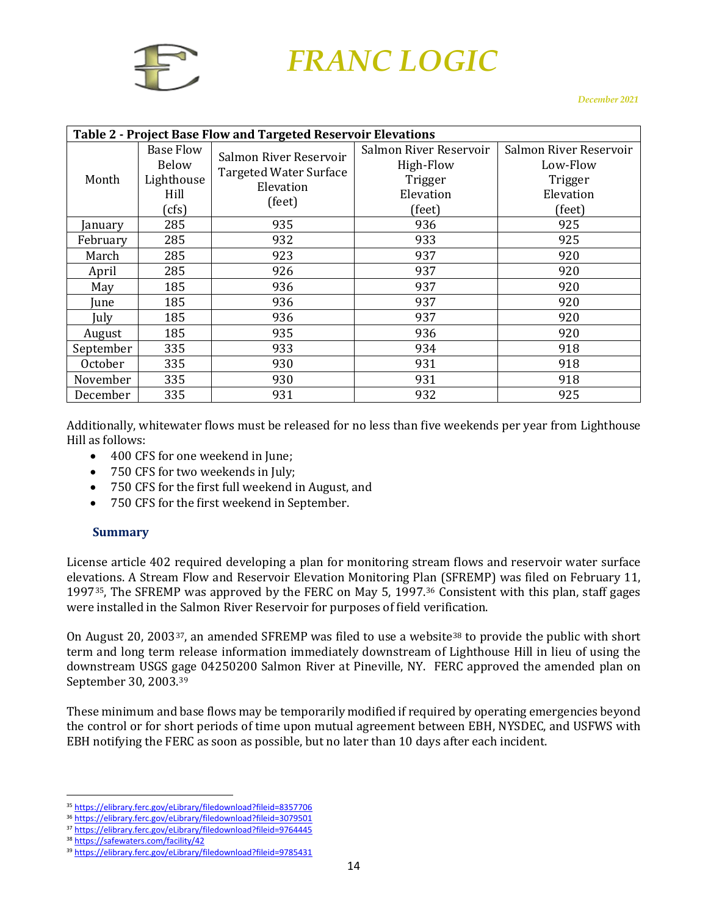

| Table 2 - Project Base Flow and Targeted Reservoir Elevations |                           |                                                         |                        |                        |  |  |  |  |
|---------------------------------------------------------------|---------------------------|---------------------------------------------------------|------------------------|------------------------|--|--|--|--|
|                                                               | <b>Base Flow</b><br>Below | Salmon River Reservoir<br><b>Targeted Water Surface</b> | Salmon River Reservoir | Salmon River Reservoir |  |  |  |  |
|                                                               |                           |                                                         | High-Flow              | Low-Flow               |  |  |  |  |
| Month                                                         | Lighthouse                | Elevation                                               | Trigger                | Trigger                |  |  |  |  |
|                                                               | Hill                      | (feet)                                                  | Elevation              | Elevation              |  |  |  |  |
|                                                               | (cfs)                     |                                                         | (feet)                 | (feet)                 |  |  |  |  |
| anuary                                                        | 285                       | 935                                                     | 936                    | 925                    |  |  |  |  |
| February                                                      | 285                       | 932                                                     | 933                    | 925                    |  |  |  |  |
| March                                                         | 285                       | 923                                                     | 937                    | 920                    |  |  |  |  |
| April                                                         | 285                       | 926                                                     | 937                    | 920                    |  |  |  |  |
| May                                                           | 185                       | 936                                                     | 937                    | 920                    |  |  |  |  |
| Iune                                                          | 185                       | 936                                                     | 937                    | 920                    |  |  |  |  |
| July                                                          | 185                       | 936                                                     | 937                    | 920                    |  |  |  |  |
| August                                                        | 185                       | 935                                                     | 936                    | 920                    |  |  |  |  |
| September                                                     | 335                       | 933                                                     | 934                    | 918                    |  |  |  |  |
| October                                                       | 335                       | 930                                                     | 931                    | 918                    |  |  |  |  |
| November                                                      | 335                       | 930                                                     | 931                    | 918                    |  |  |  |  |
| December                                                      | 335                       | 931                                                     | 932                    | 925                    |  |  |  |  |

Additionally, whitewater flows must be released for no less than five weekends per year from Lighthouse Hill as follows:

- 400 CFS for one weekend in June;
- 750 CFS for two weekends in July;
- 750 CFS for the first full weekend in August, and
- 750 CFS for the first weekend in September.

#### <span id="page-14-0"></span>**Summary**

License article 402 required developing a plan for monitoring stream flows and reservoir water surface elevations. A Stream Flow and Reservoir Elevation Monitoring Pl[an](#page-14-2) (SFREMP) was filed on February 11, 199[735](#page-14-1), The SFREMP was approved by the FERC on May 5, 1997.36 Consistent with this plan, staff gages were installed in the Salmon River Reservoir for purposes of field verification.

On August 20, 2003<sup>37</sup>, an amended SFREMP was filed to use a website<sup>[38](#page-14-4)</sup> to provide the public with short term and long term release information immediately downstream of Lighthouse Hill in lieu of using the downstream USGS gage 04250200 Salmon River at Pineville, NY. FERC approved the amended plan on September 30, 2003.[39](#page-14-5)

These minimum and base flows may be temporarily modified if required by operating emergencies beyond the control or for short periods of time upon mutual agreement between EBH, NYSDEC, and USFWS with EBH notifying the FERC as soon as possible, but no later than 10 days after each incident.

<span id="page-14-1"></span><sup>35</sup> <https://elibrary.ferc.gov/eLibrary/filedownload?fileid=8357706>

<span id="page-14-2"></span><sup>36</sup> <https://elibrary.ferc.gov/eLibrary/filedownload?fileid=3079501>

<span id="page-14-3"></span><sup>37</sup> <https://elibrary.ferc.gov/eLibrary/filedownload?fileid=9764445>

<span id="page-14-4"></span><sup>38</sup> <https://safewaters.com/facility/42>

<span id="page-14-5"></span><sup>39</sup> <https://elibrary.ferc.gov/eLibrary/filedownload?fileid=9785431>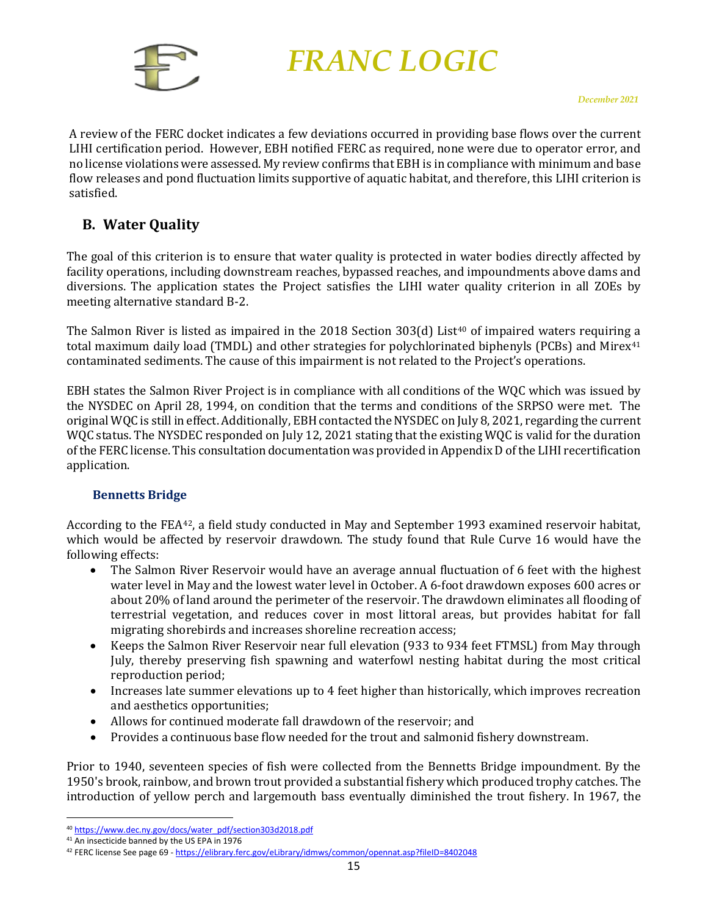

A review of the FERC docket indicates a few deviations occurred in providing base flows over the current LIHI certification period. However, EBH notified FERC as required, none were due to operator error, and no license violations were assessed. My review confirms that EBHis in compliance with minimum and base flow releases and pond fluctuation limits supportive of aquatic habitat, and therefore, this LIHI criterion is satisfied.

#### <span id="page-15-0"></span>**B. Water Quality**

The goal of this criterion is to ensure that water quality is protected in water bodies directly affected by facility operations, including downstream reaches, bypassed reaches, and impoundments above dams and diversions. The application states the Project satisfies the LIHI water quality criterion in all ZOEs by meeting alternative standard B-2.

The Salmon River is listed as impaired in the 2018 Section  $303(d)$  List<sup>[40](#page-15-2)</sup> of impaired waters requiring a total maximum daily load (TMDL) and other strategies for polychlorinated biphenyls (PCBs) and Mirex<sup>[41](#page-15-3)</sup> contaminated sediments. The cause of this impairment is not related to the Project's operations.

EBH states the Salmon River Project is in compliance with all conditions of the WQC which was issued by the NYSDEC on April 28, 1994, on condition that the terms and conditions of the SRPSO were met. The original WQC is still in effect. Additionally, EBH contacted the NYSDEC on July 8, 2021, regarding the current WQC status. The NYSDEC responded on July 12, 2021 stating that the existing WQC is valid for the duration of the FERC license. This consultation documentation was provided in Appendix D of the LIHI recertification application.

#### <span id="page-15-1"></span>**Bennetts Bridge**

According to the FEA[42,](#page-15-4) a field study conducted in May and September 1993 examined reservoir habitat, which would be affected by reservoir drawdown. The study found that Rule Curve 16 would have the following effects:

- The Salmon River Reservoir would have an average annual fluctuation of 6 feet with the highest water level in May and the lowest water level in October. A 6-foot drawdown exposes 600 acres or about 20% of land around the perimeter of the reservoir. The drawdown eliminates all flooding of terrestrial vegetation, and reduces cover in most littoral areas, but provides habitat for fall migrating shorebirds and increases shoreline recreation access;
- Keeps the Salmon River Reservoir near full elevation (933 to 934 feet FTMSL) from May through July, thereby preserving fish spawning and waterfowl nesting habitat during the most critical reproduction period;
- Increases late summer elevations up to 4 feet higher than historically, which improves recreation and aesthetics opportunities;
- Allows for continued moderate fall drawdown of the reservoir; and<br>• Provides a continuous base flow needed for the trout and salmonid
- Provides a continuous base flow needed for the trout and salmonid fishery downstream.

Prior to 1940, seventeen species of fish were collected from the Bennetts Bridge impoundment. By the 1950's brook, rainbow, and brown trout provided a substantial fishery which produced trophy catches. The introduction of yellow perch and largemouth bass eventually diminished the trout fishery. In 1967, the

<span id="page-15-2"></span><sup>40</sup> [https://www.dec.ny.gov/docs/water\\_pdf/section303d2018.pdf](https://www.dec.ny.gov/docs/water_pdf/section303d2018.pdf)

<span id="page-15-3"></span><sup>&</sup>lt;sup>41</sup> An insecticide banned by the US EPA in 1976

<span id="page-15-4"></span><sup>42</sup> FERC license See page 69 - <https://elibrary.ferc.gov/eLibrary/idmws/common/opennat.asp?fileID=8402048>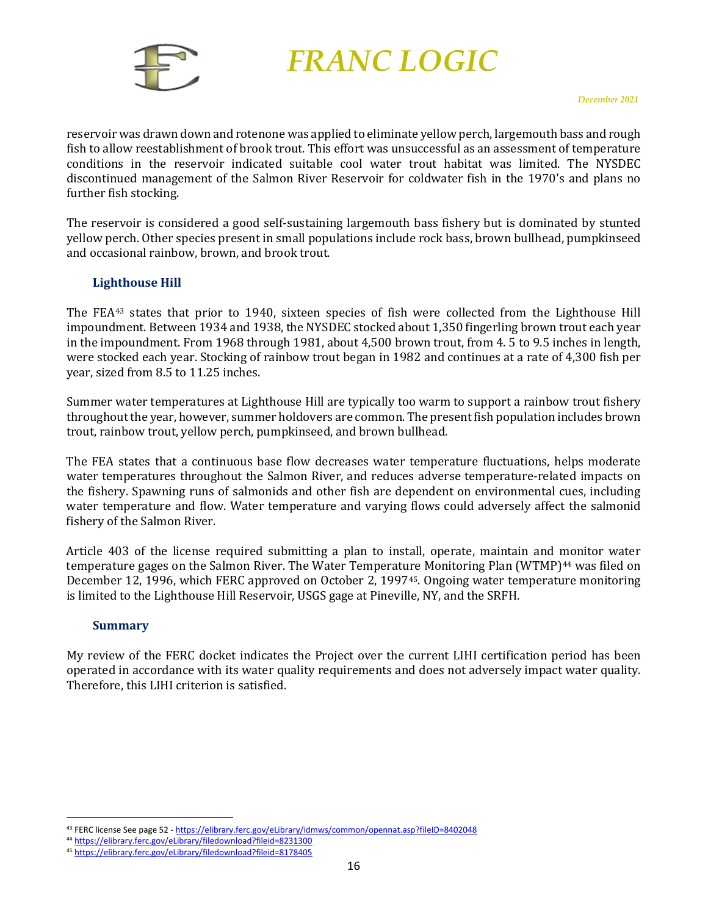

reservoir was drawn down and rotenone was applied to eliminate yellow perch, largemouth bass and rough fish to allow reestablishment of brook trout. This effort was unsuccessful as an assessment of temperature conditions in the reservoir indicated suitable cool water trout habitat was limited. The NYSDEC discontinued management of the Salmon River Reservoir for coldwater fish in the 1970's and plans no further fish stocking.

The reservoir is considered a good self-sustaining largemouth bass fishery but is dominated by stunted yellow perch. Other species present in small populations include rock bass, brown bullhead, pumpkinseed and occasional rainbow, brown, and brook trout.

#### <span id="page-16-0"></span>**Lighthouse Hill**

The FEA[43](#page-16-2) states that prior to 1940, sixteen species of fish were collected from the Lighthouse Hill impoundment. Between 1934 and 1938, the NYSDEC stocked about 1,350 fingerling brown trout each year in the impoundment. From 1968 through 1981, about 4,500 brown trout, from 4. 5 to 9.5 inches in length, were stocked each year. Stocking of rainbow trout began in 1982 and continues at a rate of 4,300 fish per year, sized from 8.5 to 11.25 inches.

Summer water temperatures at Lighthouse Hill are typically too warm to support a rainbow trout fishery throughout the year, however, summer holdovers are common. The present fish population includes brown trout, rainbow trout, yellow perch, pumpkinseed, and brown bullhead.

The FEA states that a continuous base flow decreases water temperature fluctuations, helps moderate water temperatures throughout the Salmon River, and reduces adverse temperature-related impacts on the fishery. Spawning runs of salmonids and other fish are dependent on environmental cues, including water temperature and flow. Water temperature and varying flows could adversely affect the salmonid fishery of the Salmon River.

Article 403 of the license required submitting a plan to install, operate, maintain and [mo](#page-16-3)nitor water temperat[ure](#page-16-4) gages on the Salmon River. The Water Temperature Monitoring Plan (WTMP)<sup>44</sup> was filed on December 12, 1996, which FERC approved on October 2, 199745. Ongoing water temperature monitoring is limited to the Lighthouse Hill Reservoir, USGS gage at Pineville, NY, and the SRFH.

#### <span id="page-16-1"></span>**Summary**

My review of the FERC docket indicates the Project over the current LIHI certification period has been operated in accordance with its water quality requirements and does not adversely impact water quality. Therefore, this LIHI criterion is satisfied.

<span id="page-16-2"></span><sup>43</sup> FERC license See page 52 - <https://elibrary.ferc.gov/eLibrary/idmws/common/opennat.asp?fileID=8402048>

<span id="page-16-3"></span><sup>44</sup> <https://elibrary.ferc.gov/eLibrary/filedownload?fileid=8231300>

<span id="page-16-4"></span><sup>45</sup> <https://elibrary.ferc.gov/eLibrary/filedownload?fileid=8178405>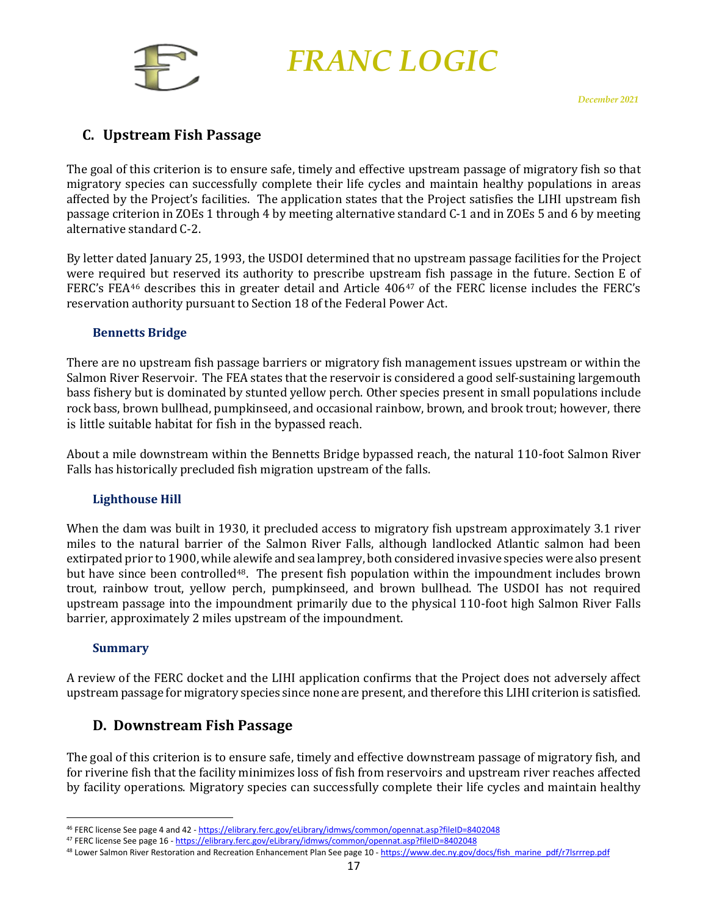

### <span id="page-17-0"></span>**C. Upstream Fish Passage**

The goal of this criterion is to ensure safe, timely and effective upstream passage of migratory fish so that migratory species can successfully complete their life cycles and maintain healthy populations in areas affected by the Project's facilities. The application states that the Project satisfies the LIHI upstream fish passage criterion in ZOEs 1 through 4 by meeting alternative standard C-1 and in ZOEs 5 and 6 by meeting alternative standard C-2.

By letter dated January 25, 1993, the USDOI determined that no upstream passage facilities for the Project were required but reserved its authority to prescribe upstream fish passage in the future. Section E of FERC's FEA[46](#page-17-5) describes this in greater detail and Article 406[47](#page-17-6) of the FERC license includes the FERC's reservation authority pursuant to Section 18 of the Federal Power Act.

#### <span id="page-17-1"></span>**Bennetts Bridge**

There are no upstream fish passage barriers or migratory fish management issues upstream or within the Salmon River Reservoir. The FEA states that the reservoir is considered a good self-sustaining largemouth bass fishery but is dominated by stunted yellow perch. Other species present in small populations include rock bass, brown bullhead, pumpkinseed, and occasional rainbow, brown, and brook trout; however, there is little suitable habitat for fish in the bypassed reach.

About a mile downstream within the Bennetts Bridge bypassed reach, the natural 110-foot Salmon River Falls has historically precluded fish migration upstream of the falls.

#### <span id="page-17-2"></span>**Lighthouse Hill**

When the dam was built in 1930, it precluded access to migratory fish upstream approximately 3.1 river miles to the natural barrier of the Salmon River Falls, although landlocked Atlantic salmon had been extirpated prior to 1900, while alewife and sea lamprey, both considered invasive species were also present but have since been controlled[48.](#page-17-7) The present fish population within the impoundment includes brown trout, rainbow trout, yellow perch, pumpkinseed, and brown bullhead. The USDOI has not required upstream passage into the impoundment primarily due to the physical 110-foot high Salmon River Falls barrier, approximately 2 miles upstream of the impoundment.

#### <span id="page-17-3"></span>**Summary**

A review of the FERC docket and the LIHI application confirms that the Project does not adversely affect upstream passage for migratory species since none are present, and therefore this LIHI criterion is satisfied.

#### <span id="page-17-4"></span>**D. Downstream Fish Passage**

The goal of this criterion is to ensure safe, timely and effective downstream passage of migratory fish, and for riverine fish that the facility minimizes loss of fish from reservoirs and upstream river reaches affected by facility operations. Migratory species can successfully complete their life cycles and maintain healthy

<span id="page-17-5"></span><sup>46</sup> FERC license See page 4 and 42 - <https://elibrary.ferc.gov/eLibrary/idmws/common/opennat.asp?fileID=8402048>

<span id="page-17-6"></span><sup>47</sup> FERC license See page 16 - <https://elibrary.ferc.gov/eLibrary/idmws/common/opennat.asp?fileID=8402048>

<span id="page-17-7"></span><sup>48</sup> Lower Salmon River Restoration and Recreation Enhancement Plan See page 10 - [https://www.dec.ny.gov/docs/fish\\_marine\\_pdf/r7lsrrrep.pdf](https://www.dec.ny.gov/docs/fish_marine_pdf/r7lsrrrep.pdf)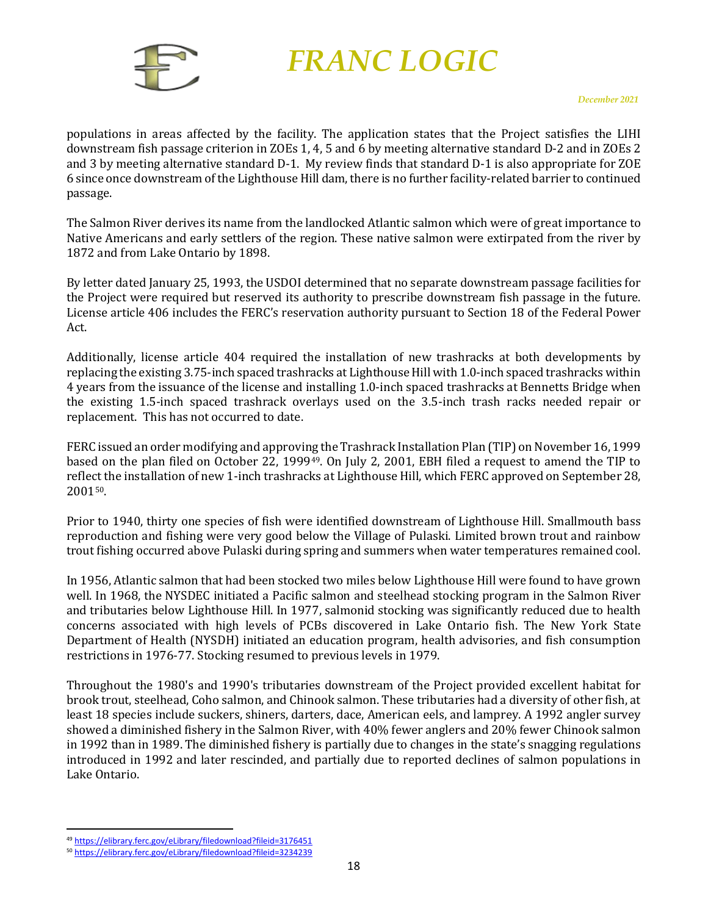

populations in areas affected by the facility. The application states that the Project satisfies the LIHI downstream fish passage criterion in ZOEs 1, 4, 5 and 6 by meeting alternative standard D-2 and in ZOEs 2 and 3 by meeting alternative standard D-1. My review finds that standard D-1 is also appropriate for ZOE 6 since once downstream of the Lighthouse Hill dam, there is no further facility-related barrier to continued passage.

The Salmon River derives its name from the landlocked Atlantic salmon which were of great importance to Native Americans and early settlers of the region. These native salmon were extirpated from the river by 1872 and from Lake Ontario by 1898.

By letter dated January 25, 1993, the USDOI determined that no separate downstream passage facilities for the Project were required but reserved its authority to prescribe downstream fish passage in the future. License article 406 includes the FERC's reservation authority pursuant to Section 18 of the Federal Power Act.

Additionally, license article 404 required the installation of new trashracks at both developments by replacing the existing 3.75-inch spaced trashracks at Lighthouse Hill with 1.0-inch spaced trashracks within 4 years from the issuance of the license and installing 1.0-inch spaced trashracks at Bennetts Bridge when the existing 1.5-inch spaced trashrack overlays used on the 3.5-inch trash racks needed repair or replacement. This has not occurred to date.

FERC issued an order modifying and approving the Trashrack Installation Plan (TIP) on November 16, 1999 based on the plan filed on October 22, 1999[49.](#page-18-0) On July 2, 2001, EBH filed a request to amend the TIP to reflect the installation of new 1-inch trashracks at Lighthouse Hill, which FERC approved on September 28, 200[150](#page-18-1).

Prior to 1940, thirty one species of fish were identified downstream of Lighthouse Hill. Smallmouth bass reproduction and fishing were very good below the Village of Pulaski. Limited brown trout and rainbow trout fishing occurred above Pulaski during spring and summers when water temperatures remained cool.

In 1956, Atlantic salmon that had been stocked two miles below Lighthouse Hill were found to have grown well. In 1968, the NYSDEC initiated a Pacific salmon and steelhead stocking program in the Salmon River and tributaries below Lighthouse Hill. In 1977, salmonid stocking was significantly reduced due to health concerns associated with high levels of PCBs discovered in Lake Ontario fish. The New York State Department of Health (NYSDH) initiated an education program, health advisories, and fish consumption restrictions in 1976-77. Stocking resumed to previous levels in 1979.

Throughout the 1980's and 1990's tributaries downstream of the Project provided excellent habitat for brook trout, steelhead, Coho salmon, and Chinook salmon. These tributaries had a diversity of other fish, at least 18 species include suckers, shiners, darters, dace, American eels, and lamprey. A 1992 angler survey showed a diminished fishery in the Salmon River, with 40% fewer anglers and 20% fewer Chinook salmon in 1992 than in 1989. The diminished fishery is partially due to changes in the state's snagging regulations introduced in 1992 and later rescinded, and partially due to reported declines of salmon populations in Lake Ontario.

<span id="page-18-0"></span><sup>49</sup> <https://elibrary.ferc.gov/eLibrary/filedownload?fileid=3176451>

<span id="page-18-1"></span><sup>50</sup> <https://elibrary.ferc.gov/eLibrary/filedownload?fileid=3234239>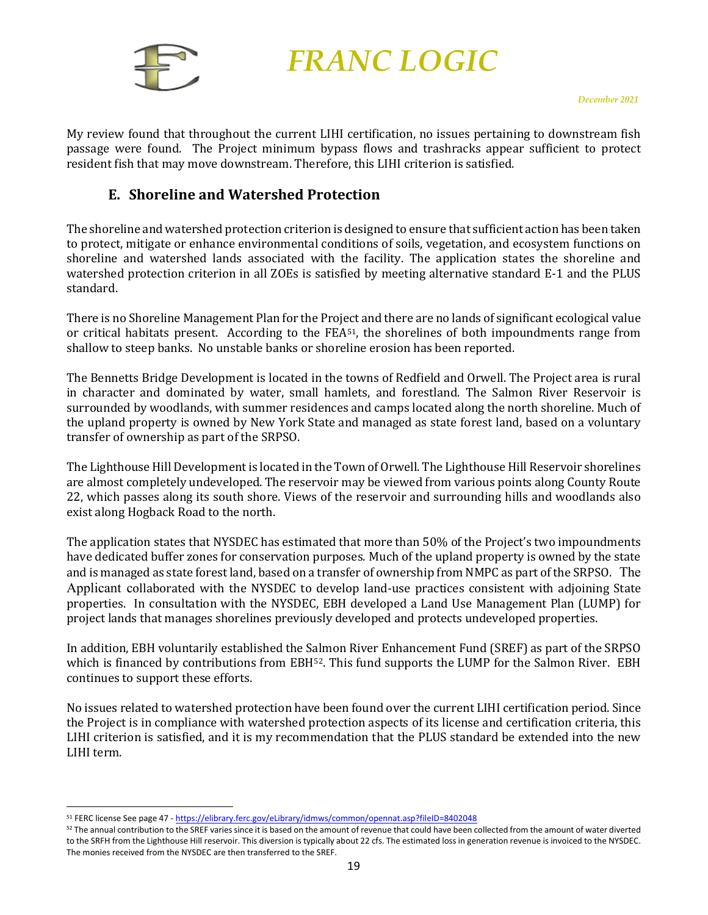

My review found that throughout the current LIHI certification, no issues pertaining to downstream fish passage were found. The Project minimum bypass flows and trashracks appear sufficient to protect resident fish that may move downstream. Therefore, this LIHI criterion is satisfied.

#### **E. Shoreline and Watershed Protection**

<span id="page-19-0"></span>The shoreline and watershed protection criterion is designed to ensure that sufficient action has been taken to protect, mitigate or enhance environmental conditions of soils, vegetation, and ecosystem functions on shoreline and watershed lands associated with the facility. The application states the shoreline and watershed protection criterion in all ZOEs is satisfied by meeting alternative standard E-1 and the PLUS standard.

There is no Shoreline Management Plan for the Project and there are no lands of significant ecological value or critical habitats present. According to the FE[A51](#page-19-1), the shorelines of both impoundments range from shallow to steep banks. No unstable banks or shoreline erosion has been reported.

The Bennetts Bridge Development is located in the towns of Redfield and Orwell. The Project area is rural in character and dominated by water, small hamlets, and forestland. The Salmon River Reservoir is surrounded by woodlands, with summer residences and camps located along the north shoreline. Much of the upland property is owned by New York State and managed as state forest land, based on a voluntary transfer of ownership as part of the SRPSO.

The Lighthouse Hill Development is located in the Town of Orwell. The Lighthouse Hill Reservoir shorelines are almost completely undeveloped. The reservoir may be viewed from various points along County Route 22, which passes along its south shore. Views of the reservoir and surrounding hills and woodlands also exist along Hogback Road to the north.

The application states that NYSDEC has estimated that more than 50% of the Project's two impoundments have dedicated buffer zones for conservation purposes. Much of the upland property is owned by the state and is managed as state forest land, based on a transfer of ownership from NMPC as part of the SRPSO. The Applicant collaborated with the NYSDEC to develop land-use practices consistent with adjoining State properties. In consultation with the NYSDEC, EBH developed a Land Use Management Plan (LUMP) for project lands that manages shorelines previously developed and protects undeveloped properties.

In addition, EBH voluntarily established the Salmon River Enhancement Fund (SREF) as part of the SRPSO which is financed by contributions from EBH<sup>[52](#page-19-2)</sup>. This fund supports the LUMP for the Salmon River. EBH continues to support these efforts.

No issues related to watershed protection have been found over the current LIHI certification period. Since the Project is in compliance with watershed protection aspects of its license and certification criteria, this LIHI criterion is satisfied, and it is my recommendation that the PLUS standard be extended into the new LIHI term.

<span id="page-19-1"></span><sup>51</sup> FERC license See page 47 - <https://elibrary.ferc.gov/eLibrary/idmws/common/opennat.asp?fileID=8402048>

<span id="page-19-2"></span><sup>&</sup>lt;sup>52</sup> The annual contribution to the SREF varies since it is based on the amount of revenue that could have been collected from the amount of water diverted to the SRFH from the Lighthouse Hill reservoir. This diversion is typically about 22 cfs. The estimated loss in generation revenue is invoiced to the NYSDEC. The monies received from the NYSDEC are then transferred to the SREF.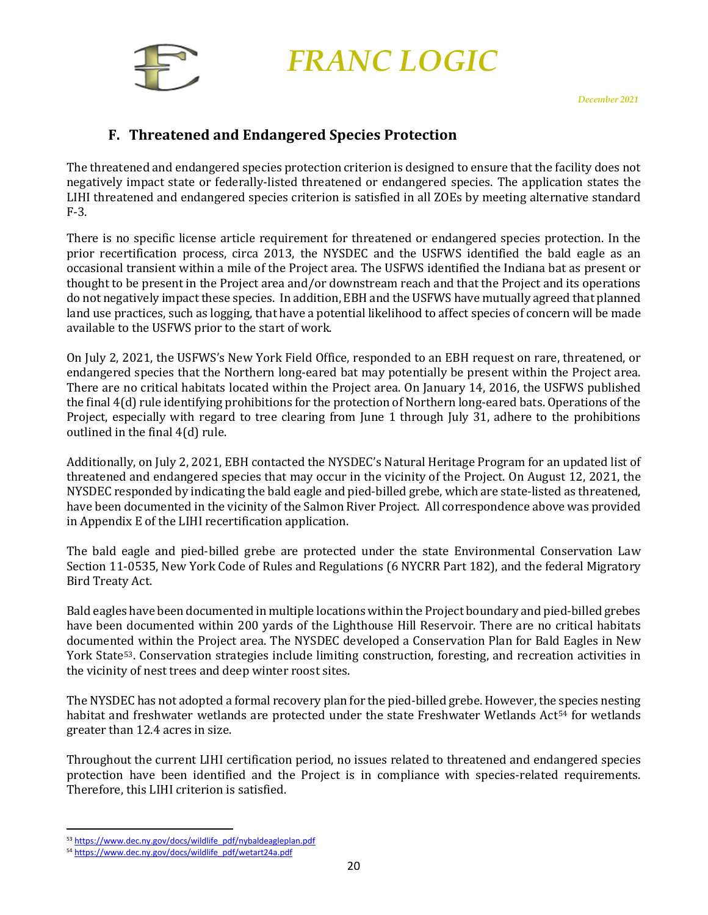

### **F. Threatened and Endangered Species Protection**

<span id="page-20-0"></span>The threatened and endangered species protection criterion is designed to ensure that the facility does not negatively impact state or federally-listed threatened or endangered species. The application states the LIHI threatened and endangered species criterion is satisfied in all ZOEs by meeting alternative standard F-3.

There is no specific license article requirement for threatened or endangered species protection. In the prior recertification process, circa 2013, the NYSDEC and the USFWS identified the bald eagle as an occasional transient within a mile of the Project area. The USFWS identified the Indiana bat as present or thought to be present in the Project area and/or downstream reach and that the Project and its operations do not negatively impact these species. In addition, EBH and the USFWS have mutually agreed that planned land use practices, such as logging, that have a potential likelihood to affect species of concern will be made available to the USFWS prior to the start of work.

On July 2, 2021, the USFWS's New York Field Office, responded to an EBH request on rare, threatened, or endangered species that the Northern long-eared bat may potentially be present within the Project area. There are no critical habitats located within the Project area. On January 14, 2016, the USFWS published the final 4(d) rule identifying prohibitions for the protection of Northern long-eared bats. Operations of the Project, especially with regard to tree clearing from June 1 through July 31, adhere to the prohibitions outlined in the final 4(d) rule.

Additionally, on July 2, 2021, EBH contacted the NYSDEC's Natural Heritage Program for an updated list of threatened and endangered species that may occur in the vicinity of the Project. On August 12, 2021, the NYSDEC responded by indicating the bald eagle and pied-billed grebe, which are state-listed as threatened, have been documented in the vicinity of the Salmon River Project. All correspondence above was provided in Appendix E of the LIHI recertification application.

The bald eagle and pied-billed grebe are protected under the state Environmental Conservation Law Section 11-0535, New York Code of Rules and Regulations (6 NYCRR Part 182), and the federal Migratory Bird Treaty Act.

Bald eagles have been documented in multiple locations within the Project boundary and pied-billed grebes have been documented within 200 yards of the Lighthouse Hill Reservoir. There are no critical habitats documented within the Project area. The NYSDEC developed a Conservation Plan for Bald Eagles in New York State[53](#page-20-1). Conservation strategies include limiting construction, foresting, and recreation activities in the vicinity of nest trees and deep winter roost sites.

The NYSDEC has not adopted a formal recovery plan for the pied-billed grebe. However, the [sp](#page-20-2)ecies nesting habitat and freshwater wetlands are protected under the state Freshwater Wetlands Act<sup>54</sup> for wetlands greater than 12.4 acres in size.

Throughout the current LIHI certification period, no issues related to threatened and endangered species protection have been identified and the Project is in compliance with species-related requirements. Therefore, this LIHI criterion is satisfied.

<span id="page-20-1"></span><sup>53</sup> [https://www.dec.ny.gov/docs/wildlife\\_pdf/nybaldeagleplan.pdf](https://www.dec.ny.gov/docs/wildlife_pdf/nybaldeagleplan.pdf)

<span id="page-20-2"></span><sup>54</sup> [https://www.dec.ny.gov/docs/wildlife\\_pdf/wetart24a.pdf](https://www.dec.ny.gov/docs/wildlife_pdf/wetart24a.pdf)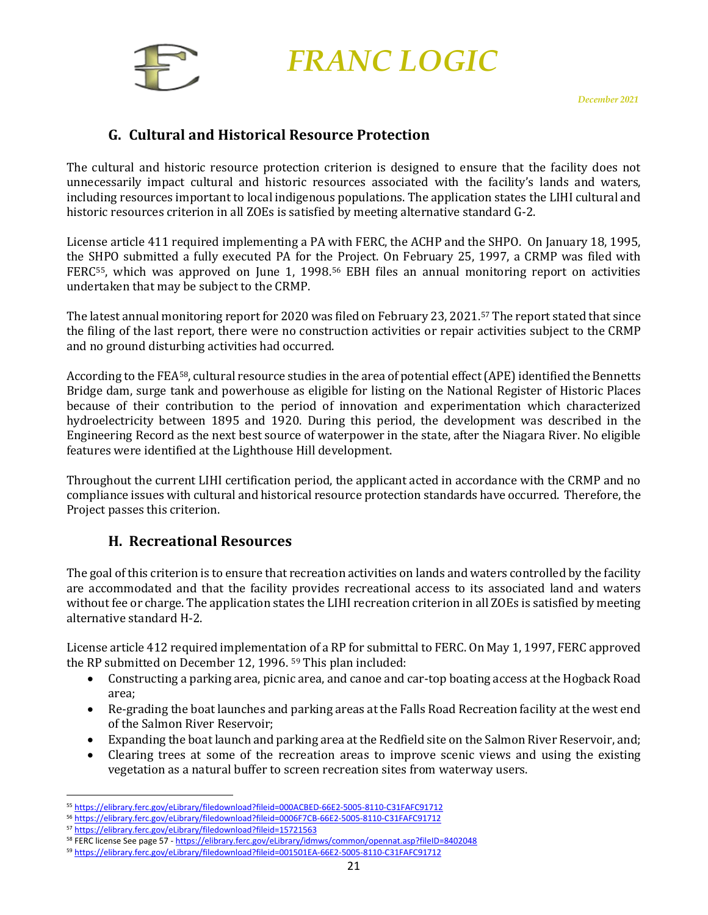

### **G. Cultural and Historical Resource Protection**

<span id="page-21-0"></span>The cultural and historic resource protection criterion is designed to ensure that the facility does not unnecessarily impact cultural and historic resources associated with the facility's lands and waters, including resources important to local indigenous populations. The application states the LIHI cultural and historic resources criterion in all ZOEs is satisfied by meeting alternative standard G-2.

License article 411 required implementing a PA with FERC, the ACHP and the SHPO. On January 18, 1995, the SHPO submitted a fully executed PA for the Project. On February 25, 1997, a CRMP was filed with FERC[55](#page-21-2), which was approved on June 1, 1998.[56](#page-21-3) EBH files an annual monitoring report on activities undertaken that may be subject to the CRMP.

The latest annual monitoring report for 2020 was filed on February 23, 2021.[57](#page-21-4) The report stated that since the filing of the last report, there were no construction activities or repair activities subject to the CRMP and no ground disturbing activities had occurred.

According to the FEA[58,](#page-21-5) cultural resource studies in the area of potential effect (APE) identified the Bennetts Bridge dam, surge tank and powerhouse as eligible for listing on the National Register of Historic Places because of their contribution to the period of innovation and experimentation which characterized hydroelectricity between 1895 and 1920. During this period, the development was described in the Engineering Record as the next best source of waterpower in the state, after the Niagara River. No eligible features were identified at the Lighthouse Hill development.

Throughout the current LIHI certification period, the applicant acted in accordance with the CRMP and no compliance issues with cultural and historical resource protection standards have occurred. Therefore, the Project passes this criterion.

### **H. Recreational Resources**

<span id="page-21-1"></span>The goal of this criterion is to ensure that recreation activities on lands and waters controlled by the facility are accommodated and that the facility provides recreational access to its associated land and waters without fee or charge. The application states the LIHI recreation criterion in all ZOEs is satisfied by meeting alternative standard H-2.

License article 412 required implementation of a RP for submittal to FERC. On May 1, 1997, FERC approved the RP submitted on December 12, 1996. <sup>[59](#page-21-6)</sup> This plan included:<br>Constructing a parking area, picnic area, and canoe and de

- Constructing a parking area, picnic area, and canoe and car-top boating access at the Hogback Road area;
- Re-grading the boat launches and parking areas at the Falls Road Recreation facility at the west end of the Salmon River Reservoir;
- Expanding the boat launch and parking area at the Redfield site on the Salmon River Reservoir, and;
- Clearing trees at some of the recreation areas to improve scenic views and using the existing vegetation as a natural buffer to screen recreation sites from waterway users.

<span id="page-21-2"></span><sup>55</sup> <https://elibrary.ferc.gov/eLibrary/filedownload?fileid=000ACBED-66E2-5005-8110-C31FAFC91712>

<span id="page-21-3"></span><sup>56</sup> <https://elibrary.ferc.gov/eLibrary/filedownload?fileid=0006F7CB-66E2-5005-8110-C31FAFC91712>

<span id="page-21-4"></span><sup>57</sup> <https://elibrary.ferc.gov/eLibrary/filedownload?fileid=15721563>

<sup>58</sup> FERC license See page 57 - <https://elibrary.ferc.gov/eLibrary/idmws/common/opennat.asp?fileID=8402048>

<span id="page-21-6"></span><span id="page-21-5"></span><sup>59</sup> <https://elibrary.ferc.gov/eLibrary/filedownload?fileid=001501EA-66E2-5005-8110-C31FAFC91712>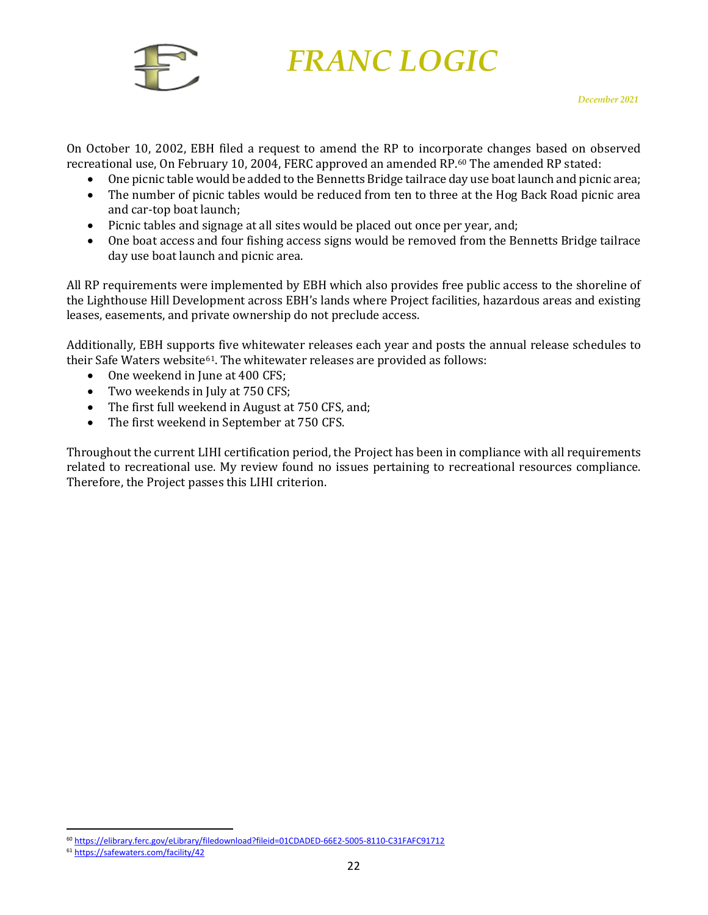

On October 10, 2002, EBH filed a request to amend the RP to incorporate changes based on observed recreational use, On February 10, 2004, FERC approved an amended RP.[60](#page-22-0) The amended RP stated:

- One picnic table would be added to the Bennetts Bridge tailrace day use boat launch and picnic area;
- The number of picnic tables would be reduced from ten to three at the Hog Back Road picnic area and car-top boat launch;
- Picnic tables and signage at all sites would be placed out once per year, and;
- One boat access and four fishing access signs would be removed from the Bennetts Bridge tailrace day use boat launch and picnic area.

All RP requirements were implemented by EBH which also provides free public access to the shoreline of the Lighthouse Hill Development across EBH's lands where Project facilities, hazardous areas and existing leases, easements, and private ownership do not preclude access.

Additionally, EBH supports five whitewater releases each year and posts the annual release schedules to their Safe Waters website<sup>[61](#page-22-1)</sup>. The whitewater releases are provided as follows:

- One weekend in June at 400 CFS;
- Two weekends in July at 750 CFS;
- The first full weekend in August at 750 CFS, and;<br>• The first weekend in Sentember at 750 CFS.
- The first weekend in September at 750 CFS.

Throughout the current LIHI certification period, the Project has been in compliance with all requirements related to recreational use. My review found no issues pertaining to recreational resources compliance. Therefore, the Project passes this LIHI criterion.

<span id="page-22-0"></span><sup>60</sup> <https://elibrary.ferc.gov/eLibrary/filedownload?fileid=01CDADED-66E2-5005-8110-C31FAFC91712>

<span id="page-22-1"></span><sup>61</sup> <https://safewaters.com/facility/42>